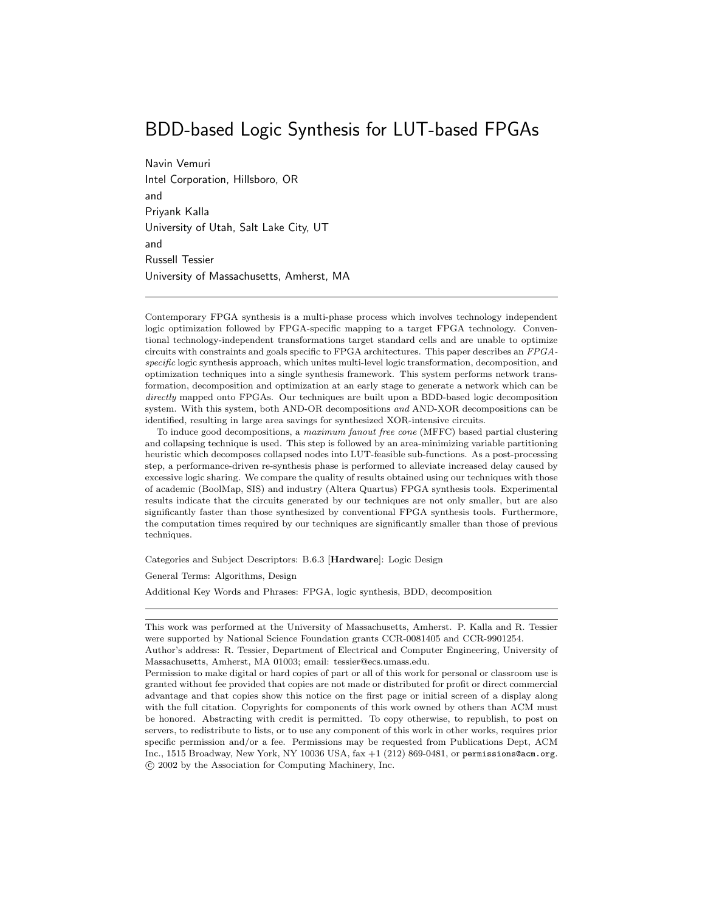# BDD-based Logic Synthesis for LUT-based FPGAs

Navin Vemuri Intel Corporation, Hillsboro, OR and Priyank Kalla University of Utah, Salt Lake City, UT and Russell Tessier University of Massachusetts, Amherst, MA

Contemporary FPGA synthesis is a multi-phase process which involves technology independent logic optimization followed by FPGA-specific mapping to a target FPGA technology. Conventional technology-independent transformations target standard cells and are unable to optimize circuits with constraints and goals specific to FPGA architectures. This paper describes an FPGA $specific$  logic synthesis approach, which unites multi-level logic transformation, decomposition, and optimization techniques into a single synthesis framework. This system performs network transformation, decomposition and optimization at an early stage to generate a network which can be directly mapped onto FPGAs. Our techniques are built upon a BDD-based logic decomposition system. With this system, both AND-OR decompositions and AND-XOR decompositions can be identified, resulting in large area savings for synthesized XOR-intensive circuits.

To induce good decompositions, a maximum fanout free cone (MFFC) based partial clustering and collapsing technique is used. This step is followed by an area-minimizing variable partitioning heuristic which decomposes collapsed nodes into LUT-feasible sub-functions. As a post-processing step,a performance-driven re-synthesis phase is performed to alleviate increased delay caused by excessive logic sharing. We compare the quality of results obtained using our techniques with those of academic (BoolMap,SIS) and industry (Altera Quartus) FPGA synthesis tools. Experimental results indicate that the circuits generated by our techniques are not only smaller, but are also significantly faster than those synthesized by conventional FPGA synthesis tools. Furthermore, the computation times required by our techniques are significantly smaller than those of previous techniques.

Categories and Subject Descriptors: B.6.3 [**Hardware**]: Logic Design

General Terms: Algorithms, Design

Additional Key Words and Phrases: FPGA, logic synthesis, BDD, decomposition

This work was performed at the University of Massachusetts, Amherst. P. Kalla and R. Tessier were supported by National Science Foundation grants CCR-0081405 and CCR-9901254.

Author's address: R. Tessier, Department of Electrical and Computer Engineering, University of Massachusetts,Amherst,MA 01003; email: tessier@ecs.umass.edu.

Permission to make digital or hard copies of part or all of this work for personal or classroom use is granted without fee provided that copies are not made or distributed for profit or direct commercial advantage and that copies show this notice on the first page or initial screen of a display along with the full citation. Copyrights for components of this work owned by others than ACM must be honored. Abstracting with credit is permitted. To copy otherwise, to republish, to post on servers, to redistribute to lists, or to use any component of this work in other works, requires prior specific permission and/or a fee. Permissions may be requested from Publications Dept, ACM Inc., 1515 Broadway, New York, NY 10036 USA,  $fax +1$  (212) 869-0481, or permissions@acm.org. c 2002 by the Association for Computing Machinery,Inc.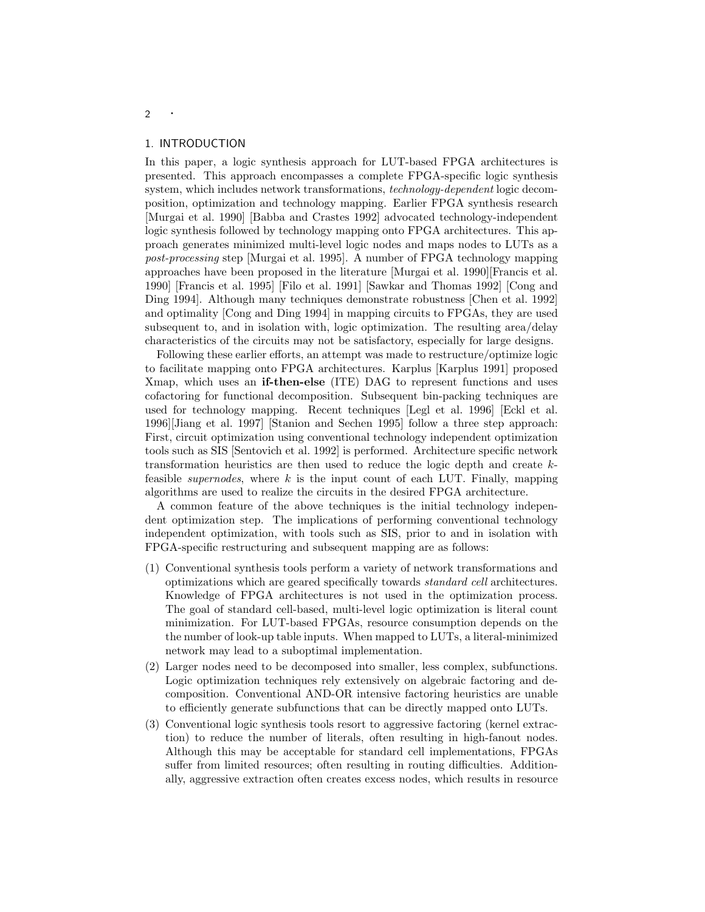#### 1. INTRODUCTION

In this paper, a logic synthesis approach for LUT-based FPGA architectures is presented. This approach encompasses a complete FPGA-specific logic synthesis system, which includes network transformations, *technology-dependent* logic decomposition, optimization and technology mapping. Earlier FPGA synthesis research [Murgai et al. 1990] [Babba and Crastes 1992] advocated technology-independent logic synthesis followed by technology mapping onto FPGA architectures. This approach generates minimized multi-level logic nodes and maps nodes to LUTs as a *post-processing* step [Murgai et al. 1995]. A number of FPGA technology mapping approaches have been proposed in the literature [Murgai et al. 1990][Francis et al. 1990] [Francis et al. 1995] [Filo et al. 1991] [Sawkar and Thomas 1992] [Cong and Ding 1994]. Although many techniques demonstrate robustness [Chen et al. 1992] and optimality [Cong and Ding 1994] in mapping circuits to FPGAs, they are used subsequent to, and in isolation with, logic optimization. The resulting area/delay characteristics of the circuits may not be satisfactory, especially for large designs.

Following these earlier efforts, an attempt was made to restructure/optimize logic to facilitate mapping onto FPGA architectures. Karplus [Karplus 1991] proposed Xmap, which uses an **if-then-else** (ITE) DAG to represent functions and uses cofactoring for functional decomposition. Subsequent bin-packing techniques are used for technology mapping. Recent techniques [Legl et al. 1996] [Eckl et al. 1996][Jiang et al. 1997] [Stanion and Sechen 1995] followa three step approach: First, circuit optimization using conventional technology independent optimization tools such as SIS [Sentovich et al. 1992] is performed. Architecture specific network transformation heuristics are then used to reduce the logic depth and create kfeasible *supernodes*, where k is the input count of each LUT. Finally, mapping algorithms are used to realize the circuits in the desired FPGA architecture.

A common feature of the above techniques is the initial technology independent optimization step. The implications of performing conventional technology independent optimization, with tools such as SIS, prior to and in isolation with FPGA-specific restructuring and subsequent mapping are as follows:

- (1) Conventional synthesis tools perform a variety of network transformations and optimizations which are geared specifically towards *standard cell* architectures. Knowledge of FPGA architectures is not used in the optimization process. The goal of standard cell-based, multi-level logic optimization is literal count minimization. For LUT-based FPGAs, resource consumption depends on the the number of look-up table inputs. When mapped to LUTs, a literal-minimized network may lead to a suboptimal implementation.
- (2) Larger nodes need to be decomposed into smaller, less complex, subfunctions. Logic optimization techniques rely extensively on algebraic factoring and decomposition. Conventional AND-OR intensive factoring heuristics are unable to efficiently generate subfunctions that can be directly mapped onto LUTs.
- (3) Conventional logic synthesis tools resort to aggressive factoring (kernel extraction) to reduce the number of literals, often resulting in high-fanout nodes. Although this may be acceptable for standard cell implementations, FPGAs suffer from limited resources; often resulting in routing difficulties. Additionally, aggressive extraction often creates excess nodes, which results in resource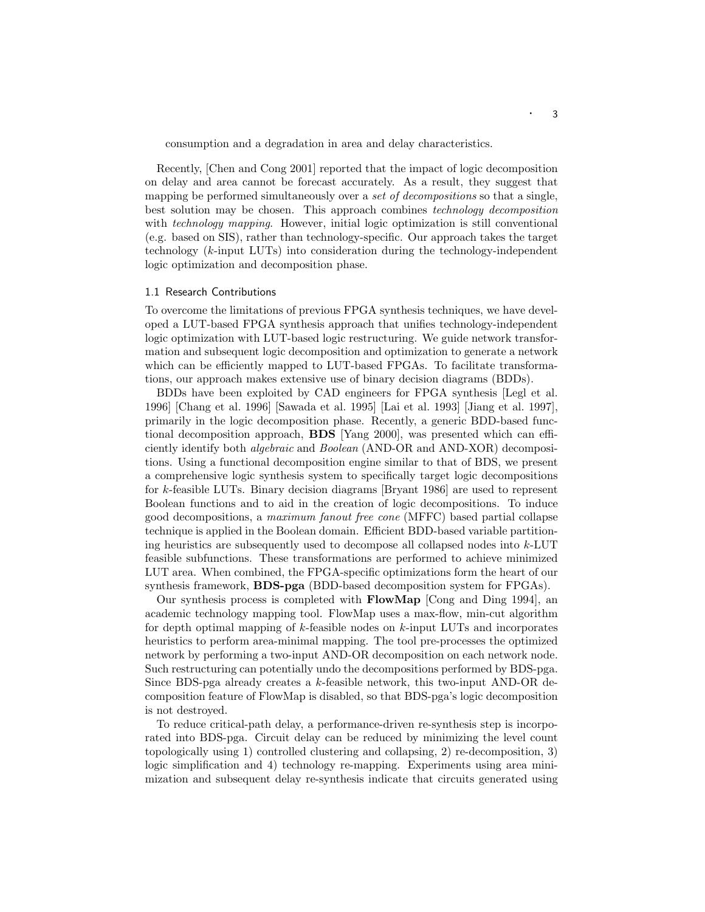consumption and a degradation in area and delay characteristics.

Recently, [Chen and Cong 2001] reported that the impact of logic decomposition on delay and area cannot be forecast accurately. As a result, they suggest that mapping be performed simultaneously over a *set of decompositions* so that a single, best solution may be chosen. This approach combines *technology decomposition* with *technology mapping*. However, initial logic optimization is still conventional (e.g. based on SIS), rather than technology-specific. Our approach takes the target technology (k-input LUTs) into consideration during the technology-independent logic optimization and decomposition phase.

### 1.1 Research Contributions

To overcome the limitations of previous FPGA synthesis techniques, we have developed a LUT-based FPGA synthesis approach that unifies technology-independent logic optimization with LUT-based logic restructuring. We guide network transformation and subsequent logic decomposition and optimization to generate a network which can be efficiently mapped to LUT-based FPGAs. To facilitate transformations, our approach makes extensive use of binary decision diagrams (BDDs).

BDDs have been exploited by CAD engineers for FPGA synthesis [Legl et al. 1996] [Chang et al. 1996] [Sawada et al. 1995] [Lai et al. 1993] [Jiang et al. 1997], primarily in the logic decomposition phase. Recently, a generic BDD-based functional decomposition approach, **BDS** [Yang 2000], was presented which can efficiently identify both *algebraic* and *Boolean* (AND-OR and AND-XOR) decompositions. Using a functional decomposition engine similar to that of BDS, we present a comprehensive logic synthesis system to specifically target logic decompositions for k-feasible LUTs. Binary decision diagrams [Bryant 1986] are used to represent Boolean functions and to aid in the creation of logic decompositions. To induce good decompositions, a *maximum fanout free cone* (MFFC) based partial collapse technique is applied in the Boolean domain. Efficient BDD-based variable partitioning heuristics are subsequently used to decompose all collapsed nodes into k-LUT feasible subfunctions. These transformations are performed to achieve minimized LUT area. When combined, the FPGA-specific optimizations form the heart of our synthesis framework, **BDS-pga** (BDD-based decomposition system for FPGAs).

Our synthesis process is completed with **FlowMap** [Cong and Ding 1994], an academic technology mapping tool. FlowMap uses a max-flow, min-cut algorithm for depth optimal mapping of k-feasible nodes on k-input LUTs and incorporates heuristics to perform area-minimal mapping. The tool pre-processes the optimized network by performing a two-input AND-OR decomposition on each network node. Such restructuring can potentially undo the decompositions performed by BDS-pga. Since BDS-pga already creates a  $k$ -feasible network, this two-input AND-OR decomposition feature of FlowMap is disabled, so that BDS-pga's logic decomposition is not destroyed.

To reduce critical-path delay, a performance-driven re-synthesis step is incorporated into BDS-pga. Circuit delay can be reduced by minimizing the level count topologically using 1) controlled clustering and collapsing, 2) re-decomposition, 3) logic simplification and 4) technology re-mapping. Experiments using area minimization and subsequent delay re-synthesis indicate that circuits generated using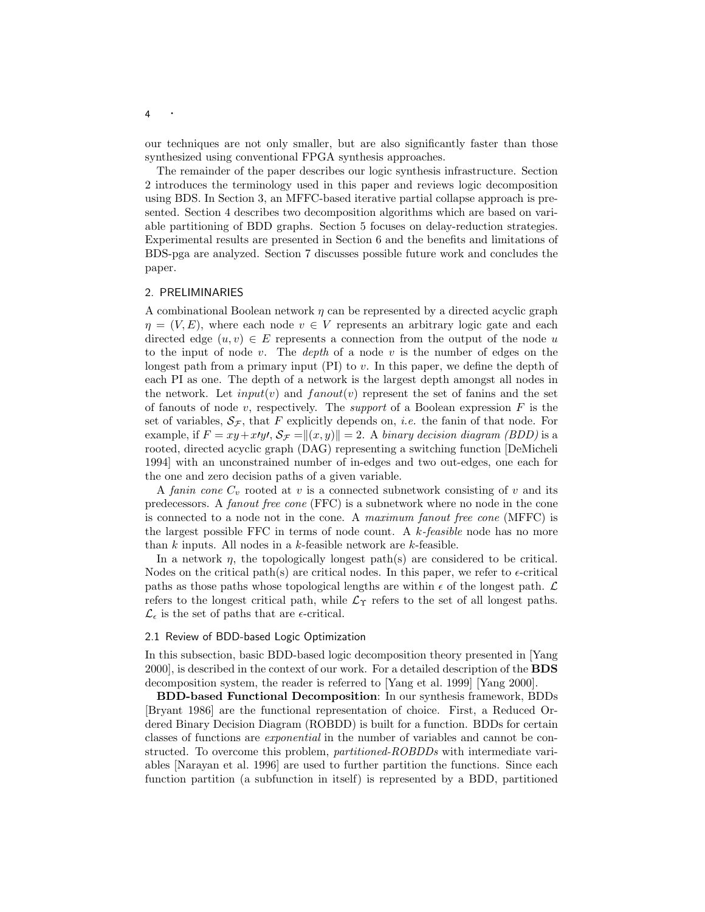our techniques are not only smaller, but are also significantly faster than those synthesized using conventional FPGA synthesis approaches.

The remainder of the paper describes our logic synthesis infrastructure. Section 2 introduces the terminology used in this paper and reviews logic decomposition using BDS. In Section 3, an MFFC-based iterative partial collapse approach is presented. Section 4 describes two decomposition algorithms which are based on variable partitioning of BDD graphs. Section 5 focuses on delay-reduction strategies. Experimental results are presented in Section 6 and the benefits and limitations of BDS-pga are analyzed. Section 7 discusses possible future work and concludes the paper.

### 2. PRELIMINARIES

A combinational Boolean network  $\eta$  can be represented by a directed acyclic graph  $\eta = (V, E)$ , where each node  $v \in V$  represents an arbitrary logic gate and each directed edge  $(u, v) \in E$  represents a connection from the output of the node u to the input of node v. The *depth* of a node v is the number of edges on the longest path from a primary input  $(PI)$  to v. In this paper, we define the depth of each PI as one. The depth of a network is the largest depth amongst all nodes in the network. Let  $input(v)$  and  $fanout(v)$  represent the set of fanins and the set of fanouts of node v, respectively. The *support* of a Boolean expression  $F$  is the set of variables,  $\mathcal{S}_{\mathcal{F}}$ , that F explicitly depends on, *i.e.* the fanin of that node. For example, if  $F = xy + x \cdot y \cdot$ ,  $S_F = ||(x, y)|| = 2$ . A *binary decision diagram (BDD)* is a rooted, directed acyclic graph (DAG) representing a switching function [DeMicheli 1994] with an unconstrained number of in-edges and two out-edges, one each for the one and zero decision paths of a given variable.

A *fanin cone*  $C_v$  rooted at v is a connected subnetwork consisting of v and its predecessors. A *fanout free cone* (FFC) is a subnetwork where no node in the cone is connected to a node not in the cone. A *maximum fanout free cone* (MFFC) is the largest possible FFC in terms of node count. A k*-feasible* node has no more than  $k$  inputs. All nodes in a  $k$ -feasible network are  $k$ -feasible.

In a network  $\eta$ , the topologically longest path(s) are considered to be critical. Nodes on the critical path(s) are critical nodes. In this paper, we refer to  $\epsilon$ -critical paths as those paths whose topological lengths are within  $\epsilon$  of the longest path.  $\mathcal L$ refers to the longest critical path, while  $\mathcal{L}_{\Upsilon}$  refers to the set of all longest paths.  $\mathcal{L}_{\epsilon}$  is the set of paths that are  $\epsilon$ -critical.

#### 2.1 Review of BDD-based Logic Optimization

In this subsection, basic BDD-based logic decomposition theory presented in [Yang 2000], is described in the context of our work. For a detailed description of the **BDS** decomposition system, the reader is referred to [Yang et al. 1999] [Yang 2000].

**BDD-based Functional Decomposition**: In our synthesis framework, BDDs [Bryant 1986] are the functional representation of choice. First, a Reduced Ordered Binary Decision Diagram (ROBDD) is built for a function. BDDs for certain classes of functions are *exponential* in the number of variables and cannot be constructed. To overcome this problem, *partitioned-ROBDDs* with intermediate variables [Narayan et al. 1996] are used to further partition the functions. Since each function partition (a subfunction in itself) is represented by a BDD, partitioned

4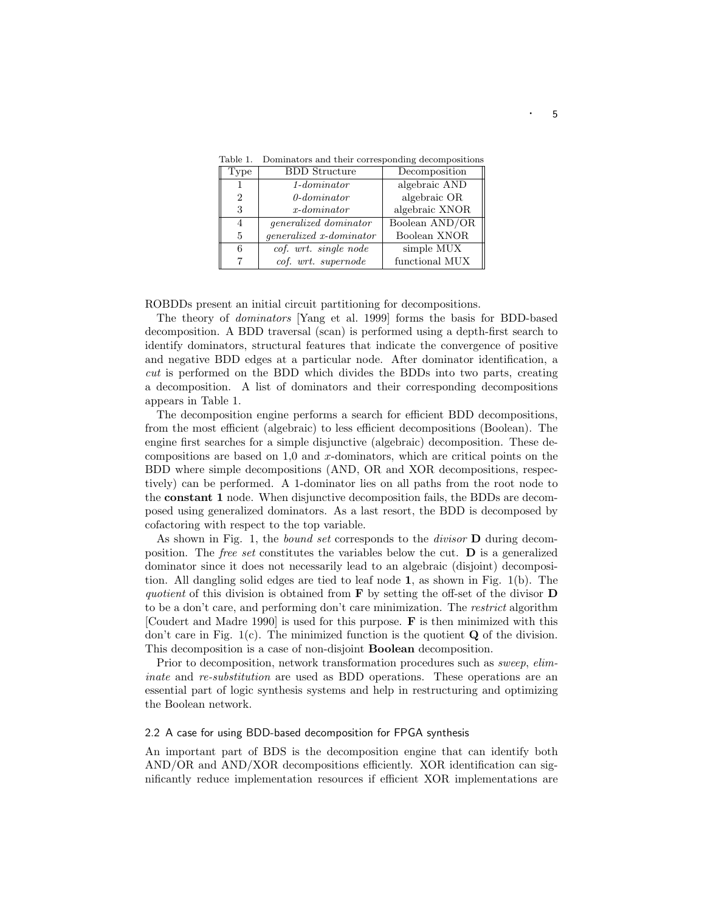| Type           | <b>BDD</b> Structure         | Decomposition  |
|----------------|------------------------------|----------------|
|                | $1$ -dominator               | algebraic AND  |
| $\overline{2}$ | $0$ -dominator               | algebraic OR   |
| 3              | $x$ -dominator               | algebraic XNOR |
| 4              | <i>generalized dominator</i> | Boolean AND/OR |
| 5              | generalized x-dominator      | Boolean XNOR   |
| 6              | cof. wrt. single node        | simple MUX     |
|                | cof. wrt. supernode          | functional MUX |

Table 1. Dominators and their corresponding decompositions

ROBDDs present an initial circuit partitioning for decompositions.

The theory of *dominators* [Yang et al. 1999] forms the basis for BDD-based decomposition. A BDD traversal (scan) is performed using a depth-first search to identify dominators, structural features that indicate the convergence of positive and negative BDD edges at a particular node. After dominator identification, a *cut* is performed on the BDD which divides the BDDs into two parts, creating a decomposition. A list of dominators and their corresponding decompositions appears in Table 1.

The decomposition engine performs a search for efficient BDD decompositions, from the most efficient (algebraic) to less efficient decompositions (Boolean). The engine first searches for a simple disjunctive (algebraic) decomposition. These decompositions are based on  $1,0$  and x-dominators, which are critical points on the BDD where simple decompositions (AND, OR and XOR decompositions, respectively) can be performed. A 1-dominator lies on all paths from the root node to the **constant 1** node. When disjunctive decomposition fails, the BDDs are decomposed using generalized dominators. As a last resort, the BDD is decomposed by cofactoring with respect to the top variable.

As shown in Fig. 1, the *bound set* corresponds to the *divisor* **D** during decomposition. The *free set* constitutes the variables belowthe cut. **D** is a generalized dominator since it does not necessarily lead to an algebraic (disjoint) decomposition. All dangling solid edges are tied to leaf node **1**, as shown in Fig. 1(b). The *quotient* of this division is obtained from **F** by setting the off-set of the divisor **D** to be a don't care, and performing don't care minimization. The *restrict* algorithm [Coudert and Madre 1990] is used for this purpose. **F** is then minimized with this don't care in Fig. 1(c). The minimized function is the quotient **Q** of the division. This decomposition is a case of non-disjoint **Boolean** decomposition.

Prior to decomposition, network transformation procedures such as *sweep*, *eliminate* and *re-substitution* are used as BDD operations. These operations are an essential part of logic synthesis systems and help in restructuring and optimizing the Boolean network.

## 2.2 A case for using BDD-based decomposition for FPGA synthesis

An important part of BDS is the decomposition engine that can identify both AND/OR and AND/XOR decompositions efficiently. XOR identification can significantly reduce implementation resources if efficient XOR implementations are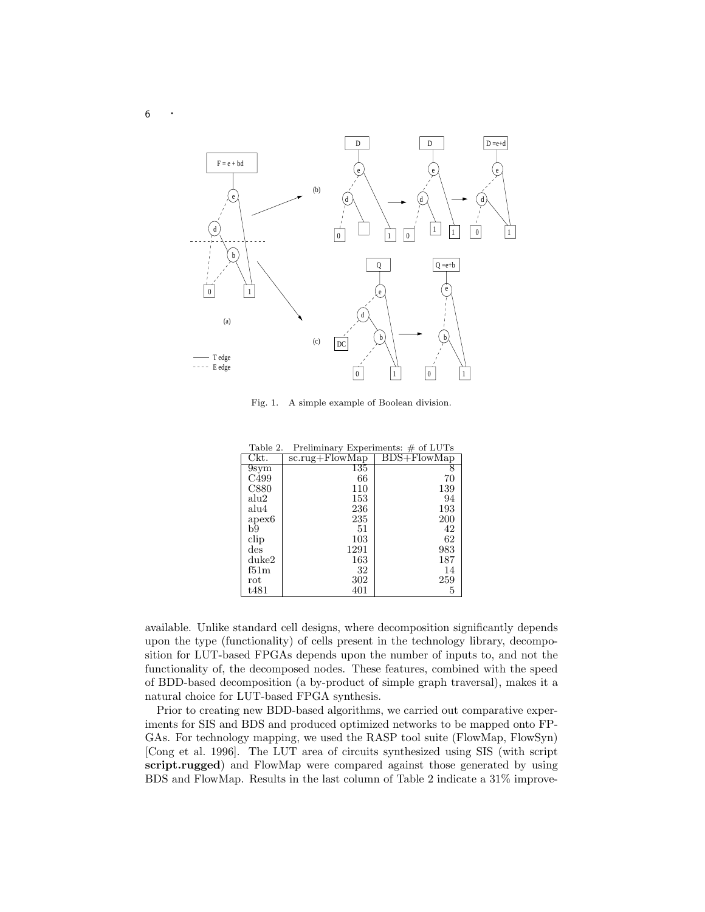

Fig. 1. A simple example of Boolean division.

| Table 2.                                                                                | Preliminary Experiments: $\#$ of LUTs |             |
|-----------------------------------------------------------------------------------------|---------------------------------------|-------------|
| Ckt.                                                                                    | $sc.rug + FlowMap$                    | BDS+FlowMap |
| 9sym                                                                                    | 135                                   | 8           |
| C499                                                                                    | 66                                    | 70          |
| C880                                                                                    | 110                                   | 139         |
| alu2                                                                                    | 153                                   | 94          |
| alu4                                                                                    | 236                                   | 193         |
| apex6                                                                                   | 235                                   | 200         |
| b9                                                                                      | 51                                    | 42          |
| clip                                                                                    | 103                                   | 62          |
| $\mathrm{des}% \left( \mathcal{S}\right) \equiv\mathrm{des}\left( \mathcal{S}\right) ,$ | 1291                                  | 983         |
| duke2                                                                                   | 163                                   | 187         |
| f51m                                                                                    | 32                                    | 14          |
| $_{\rm rot}$                                                                            | 302                                   | 259         |
| t481                                                                                    | 401                                   | 5           |

available. Unlike standard cell designs, where decomposition significantly depends upon the type (functionality) of cells present in the technology library, decomposition for LUT-based FPGAs depends upon the number of inputs to, and not the functionality of, the decomposed nodes. These features, combined with the speed of BDD-based decomposition (a by-product of simple graph traversal), makes it a natural choice for LUT-based FPGA synthesis.

Prior to creating newBDD-based algorithms, we carried out comparative experiments for SIS and BDS and produced optimized networks to be mapped onto FP-GAs. For technology mapping, we used the RASP tool suite (FlowMap, FlowSyn) [Cong et al. 1996]. The LUT area of circuits synthesized using SIS (with script **script.rugged**) and FlowMap were compared against those generated by using BDS and FlowMap. Results in the last column of Table 2 indicate a 31% improve-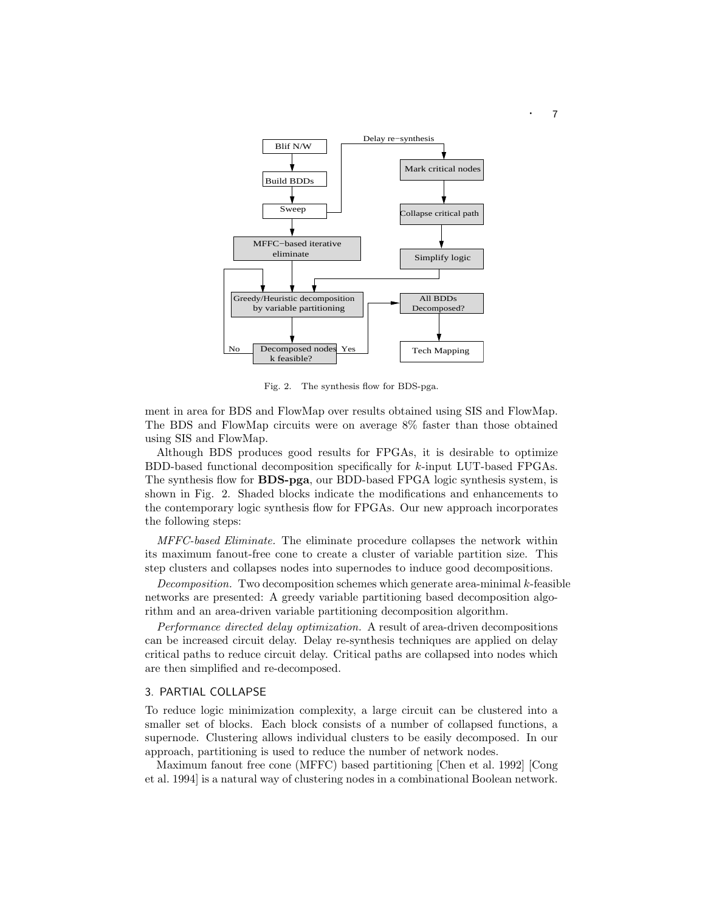

Fig. 2. The synthesis flow for BDS-pga.

ment in area for BDS and FlowMap over results obtained using SIS and FlowMap. The BDS and FlowMap circuits were on average 8% faster than those obtained using SIS and FlowMap.

Although BDS produces good results for FPGAs, it is desirable to optimize BDD-based functional decomposition specifically for k-input LUT-based FPGAs. The synthesis flow for **BDS-pga**, our BDD-based FPGA logic synthesis system, is shown in Fig. 2. Shaded blocks indicate the modifications and enhancements to the contemporary logic synthesis flow for FPGAs. Our new approach incorporates the following steps:

*MFFC-based Eliminate.* The eliminate procedure collapses the network within its maximum fanout-free cone to create a cluster of variable partition size. This step clusters and collapses nodes into supernodes to induce good decompositions.

*Decomposition.* Two decomposition schemes which generate area-minimal k-feasible networks are presented: A greedy variable partitioning based decomposition algorithm and an area-driven variable partitioning decomposition algorithm.

*Performance directed delay optimization.* A result of area-driven decompositions can be increased circuit delay. Delay re-synthesis techniques are applied on delay critical paths to reduce circuit delay. Critical paths are collapsed into nodes which are then simplified and re-decomposed.

#### 3. PARTIAL COLLAPSE

To reduce logic minimization complexity, a large circuit can be clustered into a smaller set of blocks. Each block consists of a number of collapsed functions, a supernode. Clustering allows individual clusters to be easily decomposed. In our approach, partitioning is used to reduce the number of network nodes.

Maximum fanout free cone (MFFC) based partitioning [Chen et al. 1992] [Cong et al. 1994] is a natural way of clustering nodes in a combinational Boolean network.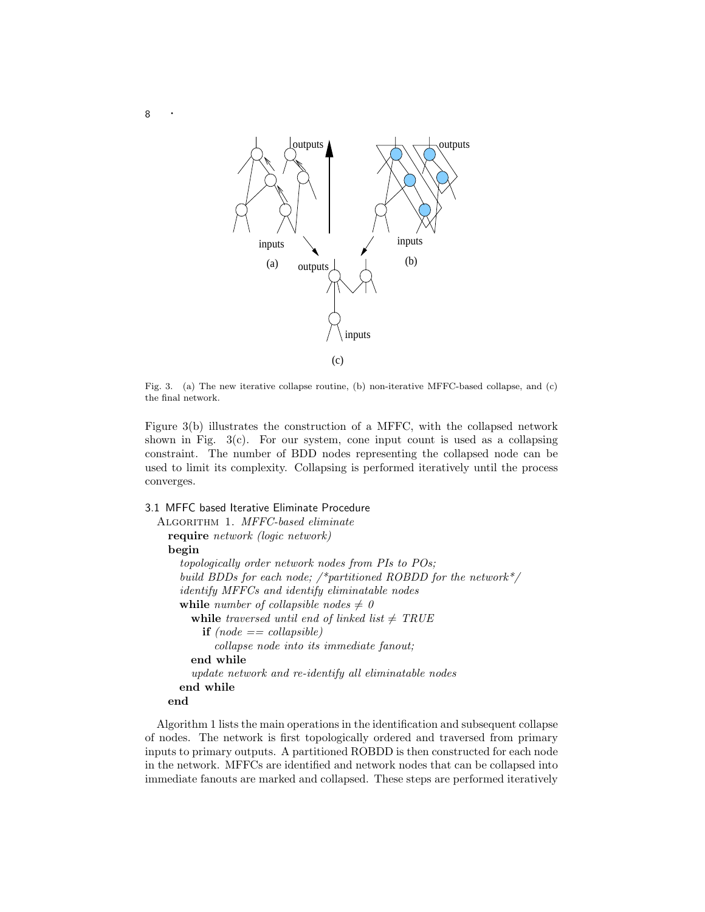

Fig. 3. (a) The new iterative collapse routine, (b) non-iterative MFFC-based collapse, and (c) the final network.

Figure 3(b) illustrates the construction of a MFFC, with the collapsed network shown in Fig.  $3(c)$ . For our system, cone input count is used as a collapsing constraint. The number of BDD nodes representing the collapsed node can be used to limit its complexity. Collapsing is performed iteratively until the process converges.

## 3.1 MFFC based Iterative Eliminate Procedure

```
Algorithm 1. MFFC-based eliminate
require network (logic network)
begin
  topologically order network nodes from PIs to POs;
  build BDDs for each node; /*partitioned ROBDD for the network*/
  identify MFFCs and identify eliminatable nodes
  while number of collapsible nodes \neq 0while traversed until end of linked list \neq TRUE
      if (node == collapsible)collapse node into its immediate fanout;
    end while
    update network and re-identify all eliminatable nodes
  end while
end
```
Algorithm 1 lists the main operations in the identification and subsequent collapse of nodes. The network is first topologically ordered and traversed from primary inputs to primary outputs. A partitioned ROBDD is then constructed for each node in the network. MFFCs are identified and network nodes that can be collapsed into immediate fanouts are marked and collapsed. These steps are performed iteratively

<sup>8</sup> ·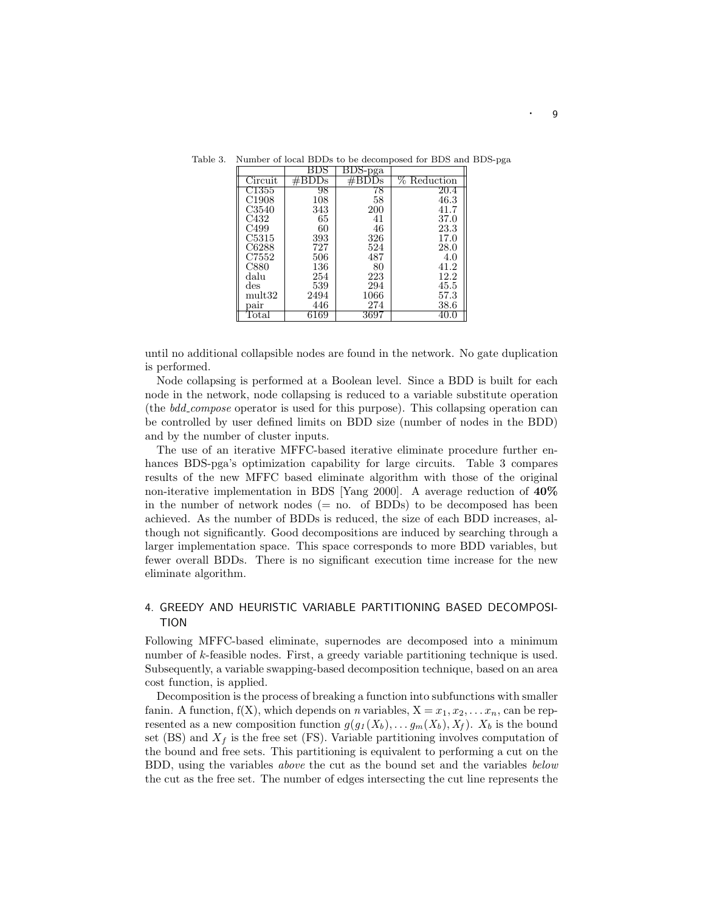|                   | BDS   | BDS-pga |                |
|-------------------|-------|---------|----------------|
| Circuit           | #BDDs | )s      | $\%$ Reduction |
| C1355             | 98    | 78      | 20.4           |
| C1908             | 108   | 58      | 46.3           |
| C3540             | 343   | 200     | 41.7           |
| C432              | 65    | 41      | 37.0           |
| C499              | 60    | 46      | 23.3           |
| C5315             | 393   | 326     | 17.0           |
| C6288             | 727   | 524     | 28.0           |
| C7552             | 506   | 487     | 4.0            |
| C880              | 136   | 80      | 41.2           |
| dalu              | 254   | 223     | 12.2           |
| des               | 539   | 294     | 45.5           |
| $\mathrm{mult}32$ | 2494  | 1066    | 57.3           |
| pair              | 446   | 274     | 38.6           |
| $_{\rm Total}$    | 6169  | 3697    |                |

Table 3. Number of local BDDs to be decomposed for BDS and BDS-pga

until no additional collapsible nodes are found in the network. No gate duplication is performed.

Node collapsing is performed at a Boolean level. Since a BDD is built for each node in the network, node collapsing is reduced to a variable substitute operation (the *bdd compose* operator is used for this purpose). This collapsing operation can be controlled by user defined limits on BDD size (number of nodes in the BDD) and by the number of cluster inputs.

The use of an iterative MFFC-based iterative eliminate procedure further enhances BDS-pga's optimization capability for large circuits. Table 3 compares results of the newMFFC based eliminate algorithm with those of the original non-iterative implementation in BDS [Yang 2000]. A average reduction of **40%** in the number of network nodes (= no. of BDDs) to be decomposed has been achieved. As the number of BDDs is reduced, the size of each BDD increases, although not significantly. Good decompositions are induced by searching through a larger implementation space. This space corresponds to more BDD variables, but fewer overall BDDs. There is no significant execution time increase for the new eliminate algorithm.

# 4. GREEDY AND HEURISTIC VARIABLE PARTITIONING BASED DECOMPOSI-TION

Following MFFC-based eliminate, supernodes are decomposed into a minimum number of k-feasible nodes. First, a greedy variable partitioning technique is used. Subsequently, a variable swapping-based decomposition technique, based on an area cost function, is applied.

Decomposition is the process of breaking a function into subfunctions with smaller fanin. A function,  $f(X)$ , which depends on *n* variables,  $X = x_1, x_2, \ldots, x_n$ , can be represented as a new composition function  $g(g_1(X_b), \ldots, g_m(X_b), X_f)$ .  $X_b$  is the bound set (BS) and  $X_f$  is the free set (FS). Variable partitioning involves computation of the bound and free sets. This partitioning is equivalent to performing a cut on the BDD, using the variables *above* the cut as the bound set and the variables *below* the cut as the free set. The number of edges intersecting the cut line represents the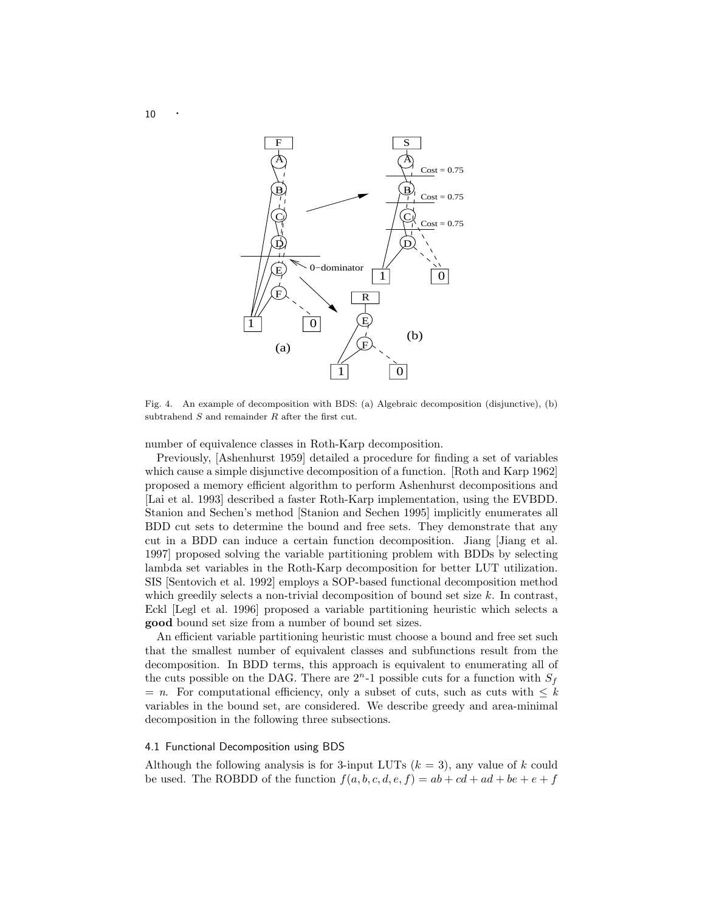

Fig. 4. An example of decomposition with BDS: (a) Algebraic decomposition (disjunctive),(b) subtrahend *S* and remainder *R* after the first cut.

number of equivalence classes in Roth-Karp decomposition.

Previously, [Ashenhurst 1959] detailed a procedure for finding a set of variables which cause a simple disjunctive decomposition of a function. [Roth and Karp 1962] proposed a memory efficient algorithm to perform Ashenhurst decompositions and [Lai et al. 1993] described a faster Roth-Karp implementation, using the EVBDD. Stanion and Sechen's method [Stanion and Sechen 1995] implicitly enumerates all BDD cut sets to determine the bound and free sets. They demonstrate that any cut in a BDD can induce a certain function decomposition. Jiang [Jiang et al. 1997] proposed solving the variable partitioning problem with BDDs by selecting lambda set variables in the Roth-Karp decomposition for better LUT utilization. SIS [Sentovich et al. 1992] employs a SOP-based functional decomposition method which greedily selects a non-trivial decomposition of bound set size  $k$ . In contrast, Eckl [Legl et al. 1996] proposed a variable partitioning heuristic which selects a **good** bound set size from a number of bound set sizes.

An efficient variable partitioning heuristic must choose a bound and free set such that the smallest number of equivalent classes and subfunctions result from the decomposition. In BDD terms, this approach is equivalent to enumerating all of the cuts possible on the DAG. There are  $2<sup>n</sup>$ -1 possible cuts for a function with  $S_f$  $= n$ . For computational efficiency, only a subset of cuts, such as cuts with  $\leq k$ variables in the bound set, are considered. We describe greedy and area-minimal decomposition in the following three subsections.

## 4.1 Functional Decomposition using BDS

Although the following analysis is for 3-input LUTs  $(k = 3)$ , any value of k could be used. The ROBDD of the function  $f(a, b, c, d, e, f) = ab + cd + ad + be + e + f$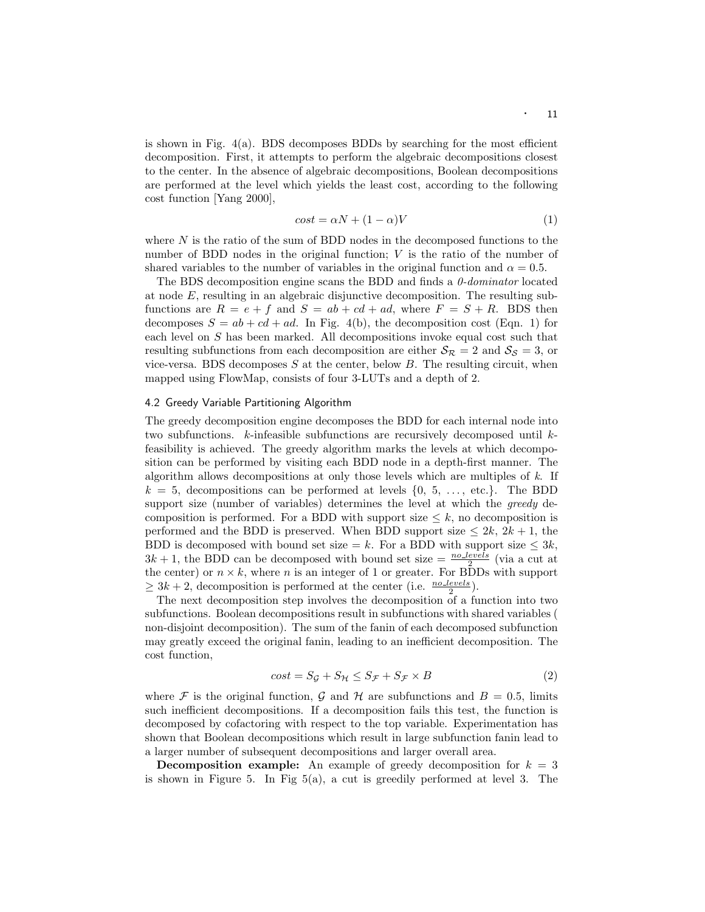is shown in Fig.  $4(a)$ . BDS decomposes BDDs by searching for the most efficient decomposition. First, it attempts to perform the algebraic decompositions closest to the center. In the absence of algebraic decompositions, Boolean decompositions are performed at the level which yields the least cost, according to the following cost function [Yang 2000],

$$
cost = \alpha N + (1 - \alpha)V \tag{1}
$$

where  $N$  is the ratio of the sum of BDD nodes in the decomposed functions to the number of BDD nodes in the original function; V is the ratio of the number of shared variables to the number of variables in the original function and  $\alpha = 0.5$ .

The BDS decomposition engine scans the BDD and finds a *0-dominator* located at node E, resulting in an algebraic disjunctive decomposition. The resulting subfunctions are  $R = e + f$  and  $S = ab + cd + ad$ , where  $F = S + R$ . BDS then decomposes  $S = ab + cd + ad$ . In Fig. 4(b), the decomposition cost (Eqn. 1) for each level on S has been marked. All decompositions invoke equal cost such that resulting subfunctions from each decomposition are either  $S_{\mathcal{R}} = 2$  and  $S_{\mathcal{S}} = 3$ , or vice-versa. BDS decomposes  $S$  at the center, below  $B$ . The resulting circuit, when mapped using FlowMap, consists of four 3-LUTs and a depth of 2.

## 4.2 Greedy Variable Partitioning Algorithm

The greedy decomposition engine decomposes the BDD for each internal node into two subfunctions.  $k$ -infeasible subfunctions are recursively decomposed until  $k$ feasibility is achieved. The greedy algorithm marks the levels at which decomposition can be performed by visiting each BDD node in a depth-first manner. The algorithm allows decompositions at only those levels which are multiples of *k*. If  $k = 5$ , decompositions can be performed at levels  $\{0, 5, \ldots, \text{etc.}\}.$  The BDD support size (number of variables) determines the level at which the *greedy* decomposition is performed. For a BDD with support size  $\leq k$ , no decomposition is performed and the BDD is preserved. When BDD support size  $\leq 2k$ ,  $2k+1$ , the BDD is decomposed with bound set size = k. For a BDD with support size  $\leq 3k$ ,  $3k + 1$ , the BDD can be decomposed with bound set size =  $\frac{no\_levels}{2}$  (via a cut at the center) or  $n \times k$ , where n is an integer of 1 or greater. For BDDs with support  $\geq 3k+2$ , decomposition is performed at the center (i.e.  $\frac{no \text{ levels}}{2}$ ).

The next decomposition step involves the decomposition of a function into two subfunctions. Boolean decompositions result in subfunctions with shared variables ( non-disjoint decomposition). The sum of the fanin of each decomposed subfunction may greatly exceed the original fanin, leading to an inefficient decomposition. The cost function,

$$
cost = S_{\mathcal{G}} + S_{\mathcal{H}} \le S_{\mathcal{F}} + S_{\mathcal{F}} \times B \tag{2}
$$

where F is the original function, G and H are subfunctions and  $B = 0.5$ , limits such inefficient decompositions. If a decomposition fails this test, the function is decomposed by cofactoring with respect to the top variable. Experimentation has shown that Boolean decompositions which result in large subfunction fanin lead to a larger number of subsequent decompositions and larger overall area.

**Decomposition example:** An example of greedy decomposition for  $k = 3$ is shown in Figure 5. In Fig 5(a), a cut is greedily performed at level 3. The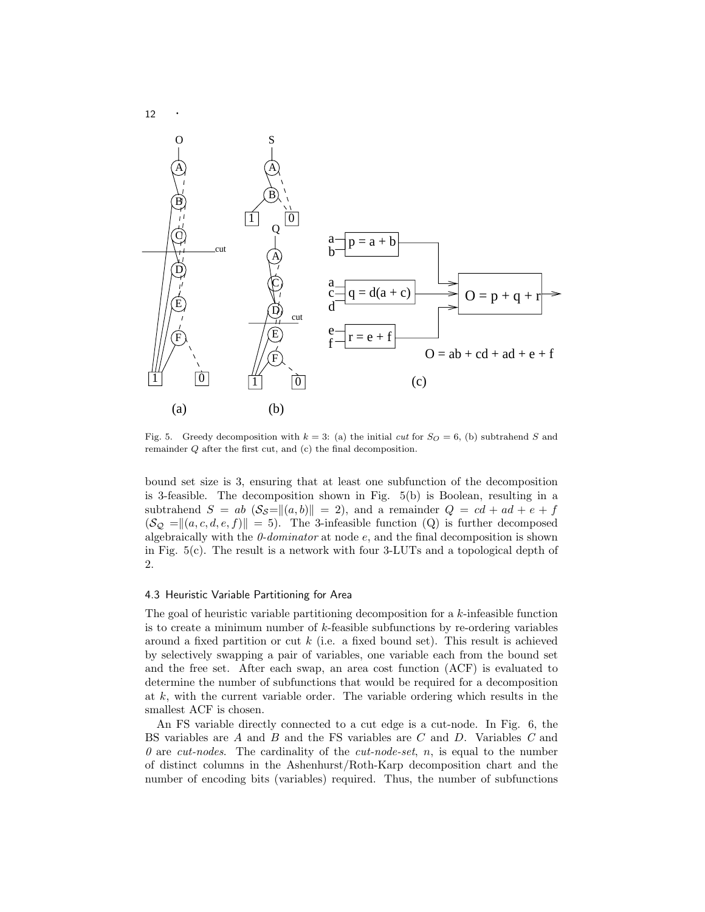

Fig. 5. Greedy decomposition with  $k = 3$ : (a) the initial *cut* for  $S<sub>O</sub> = 6$ , (b) subtrahend *S* and remainder *Q* after the first cut, and (c) the final decomposition.

bound set size is 3, ensuring that at least one subfunction of the decomposition is 3-feasible. The decomposition shown in Fig. 5(b) is Boolean, resulting in a subtrahend  $S = ab (\mathcal{S}_{\mathcal{S}}=||(a, b)|| = 2)$ , and a remainder  $Q = cd + ad + e + f$  $(\mathcal{S}_{\mathcal{Q}} = || (a, c, d, e, f) || = 5)$ . The 3-infeasible function (Q) is further decomposed algebraically with the *0-dominator* at node e, and the final decomposition is shown in Fig. 5(c). The result is a network with four 3-LUTs and a topological depth of 2.

## 4.3 Heuristic Variable Partitioning for Area

The goal of heuristic variable partitioning decomposition for a k-infeasible function is to create a minimum number of k-feasible subfunctions by re-ordering variables around a fixed partition or cut  $k$  (i.e. a fixed bound set). This result is achieved by selectively swapping a pair of variables, one variable each from the bound set and the free set. After each swap, an area cost function (ACF) is evaluated to determine the number of subfunctions that would be required for a decomposition at  $k$ , with the current variable order. The variable ordering which results in the smallest ACF is chosen.

An FS variable directly connected to a cut edge is a cut-node. In Fig. 6, the BS variables are A and B and the FS variables are C and D. Variables *C* and *0* are *cut-nodes*. The cardinality of the *cut-node-set*, n, is equal to the number of distinct columns in the Ashenhurst/Roth-Karp decomposition chart and the number of encoding bits (variables) required. Thus, the number of subfunctions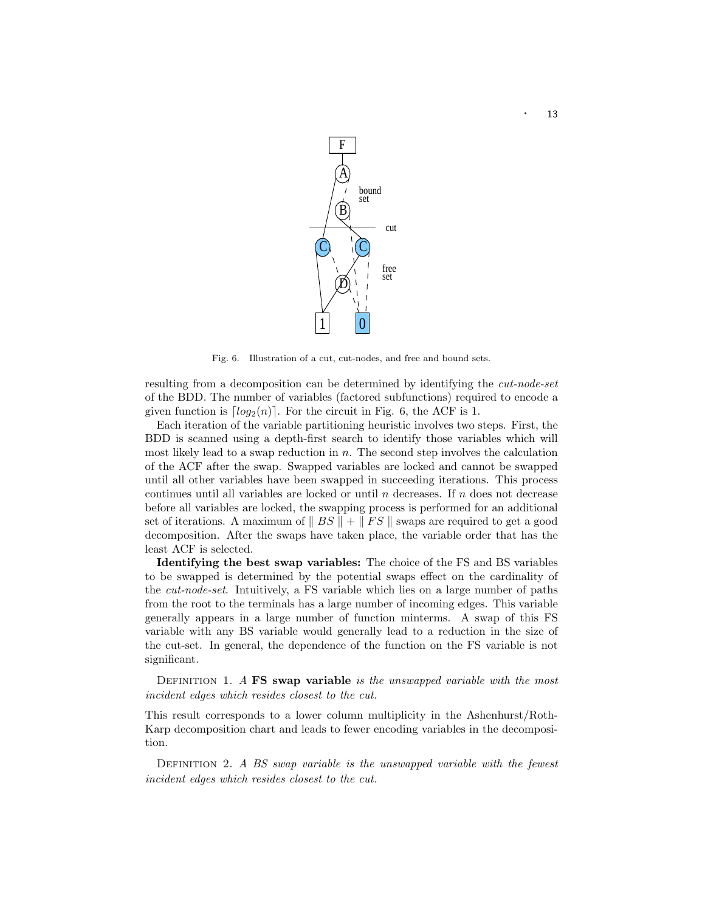

Fig. 6. Illustration of a cut, cut-nodes, and free and bound sets.

resulting from a decomposition can be determined by identifying the *cut-node-set* of the BDD. The number of variables (factored subfunctions) required to encode a given function is  $[log_2(n)]$ . For the circuit in Fig. 6, the ACF is 1.

Each iteration of the variable partitioning heuristic involves two steps. First, the BDD is scanned using a depth-first search to identify those variables which will most likely lead to a swap reduction in  $n$ . The second step involves the calculation of the ACF after the swap. Swapped variables are locked and cannot be swapped until all other variables have been swapped in succeeding iterations. This process continues until all variables are locked or until  $n$  decreases. If  $n$  does not decrease before all variables are locked, the swapping process is performed for an additional set of iterations. A maximum of  $|| BS || + || FS ||$  swaps are required to get a good decomposition. After the swaps have taken place, the variable order that has the least ACF is selected.

**Identifying the best swap variables:** The choice of the FS and BS variables to be swapped is determined by the potential swaps effect on the cardinality of the *cut-node-set*. Intuitively, a FS variable which lies on a large number of paths from the root to the terminals has a large number of incoming edges. This variable generally appears in a large number of function minterms. A swap of this FS variable with any BS variable would generally lead to a reduction in the size of the cut-set. In general, the dependence of the function on the FS variable is not significant.

Definition 1. *A* **FS swap variable** *is the unswapped variable with the most incident edges which resides closest to the cut.*

This result corresponds to a lower column multiplicity in the Ashenhurst/Roth-Karp decomposition chart and leads to fewer encoding variables in the decomposition.

Definition 2. *A BS swap variable is the unswapped variable with the fewest incident edges which resides closest to the cut.*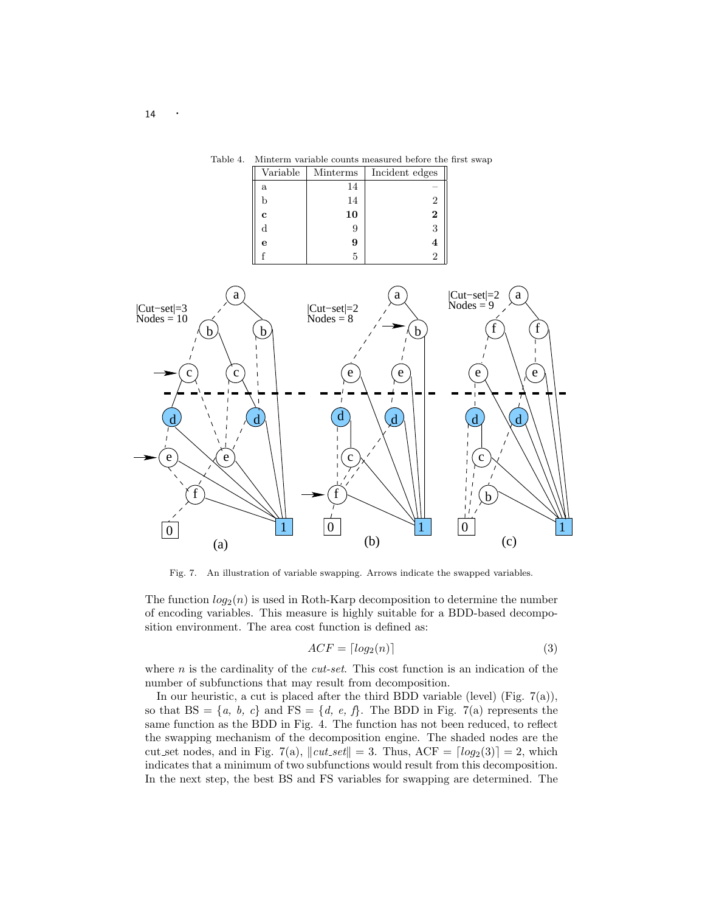

Table 4. Minterm variable counts measured before the first swap

Fig. 7. An illustration of variable swapping. Arrows indicate the swapped variables.

The function  $log_2(n)$  is used in Roth-Karp decomposition to determine the number of encoding variables. This measure is highly suitable for a BDD-based decomposition environment. The area cost function is defined as:

$$
ACF = \lceil log_2(n) \rceil \tag{3}
$$

where  $n$  is the cardinality of the *cut-set*. This cost function is an indication of the number of subfunctions that may result from decomposition.

In our heuristic, a cut is placed after the third BDD variable (level) (Fig. 7(a)), so that  $BS = \{a, b, c\}$  and  $FS = \{d, e, f\}$ . The BDD in Fig. 7(a) represents the same function as the BDD in Fig. 4. The function has not been reduced, to reflect the swapping mechanism of the decomposition engine. The shaded nodes are the cut set nodes, and in Fig. 7(a),  $\Vert cut\_set \Vert = 3$ . Thus, ACF =  $\vert log_2(3) \vert = 2$ , which indicates that a minimum of two subfunctions would result from this decomposition. In the next step, the best BS and FS variables for swapping are determined. The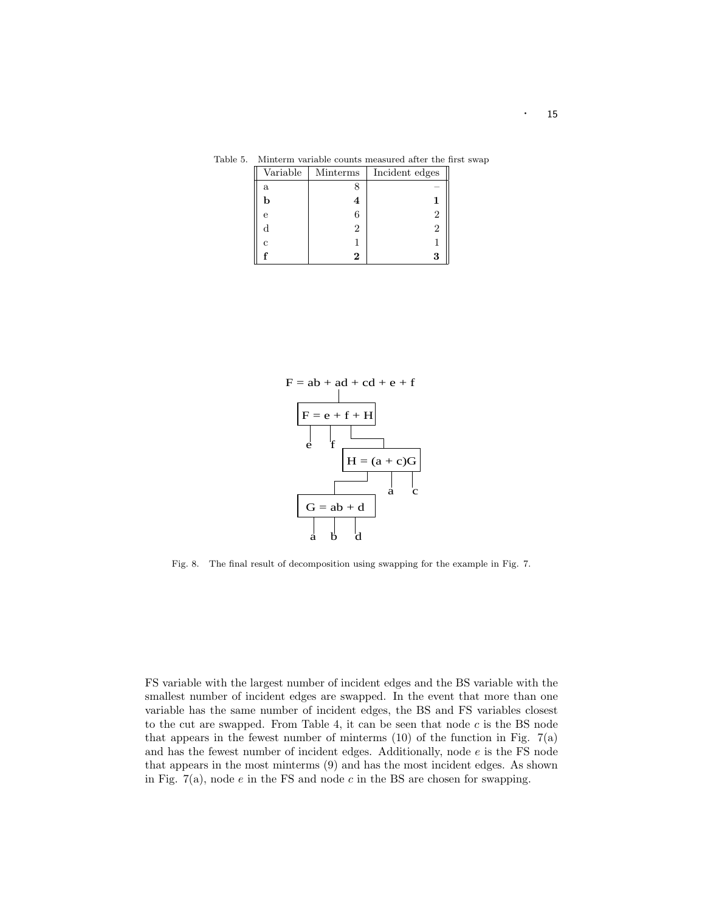| Variable | Minterms | Incident edges |
|----------|----------|----------------|
| a        |          |                |
| b        | 4        |                |
| e        | 6        | 2              |
| d        |          |                |
| C        |          |                |
|          | 2        |                |

Table 5. Minterm variable counts measured after the first swap



Fig. 8. The final result of decomposition using swapping for the example in Fig. 7.

FS variable with the largest number of incident edges and the BS variable with the smallest number of incident edges are swapped. In the event that more than one variable has the same number of incident edges, the BS and FS variables closest to the cut are swapped. From Table 4, it can be seen that node  $c$  is the BS node that appears in the fewest number of minterms  $(10)$  of the function in Fig.  $7(a)$ and has the fewest number of incident edges. Additionally, node e is the FS node that appears in the most minterms (9) and has the most incident edges. As shown in Fig.  $7(a)$ , node  $e$  in the FS and node  $c$  in the BS are chosen for swapping.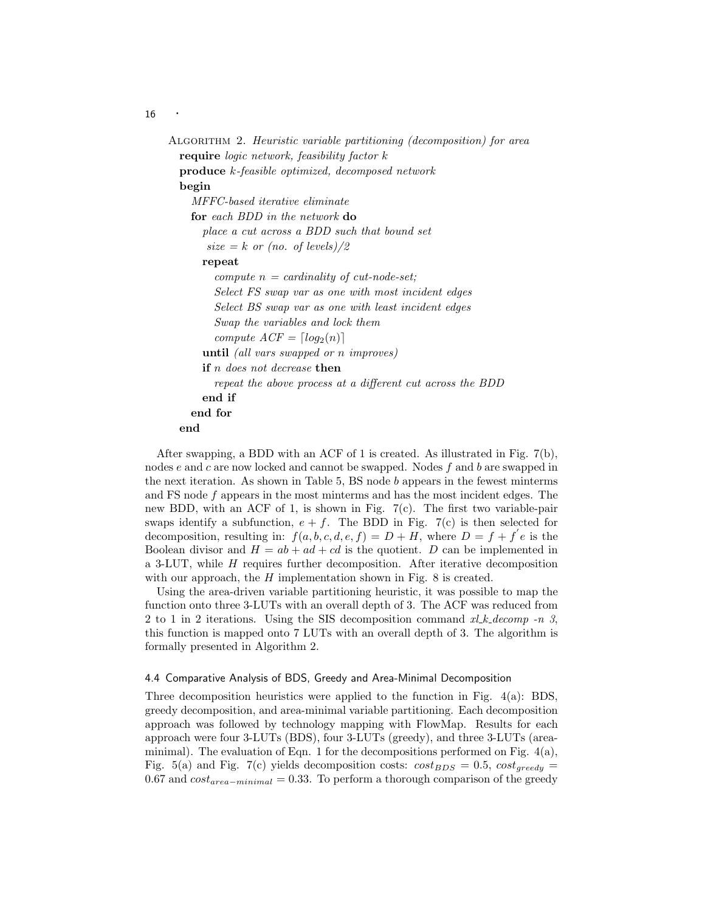Algorithm 2. *Heuristic variable partitioning (decomposition) for area* **require** *logic network, feasibility factor* k **produce** k*-feasible optimized, decomposed network* **begin** *MFFC-based iterative eliminate* **for** *each BDD in the network* **do** *place a cut across a BDD such that bound set*  $size = k$  *or (no. of levels)*/2 **repeat** *compute* n *= cardinality of cut-node-set; Select FS swap var as one with most incident edges Select BS swap var as one with least incident edges Swap the variables and lock them compute*  $ACF = [log_2(n)]$ **until** *(all vars swapped or* n *improves)* **if** n *does not decrease* **then** *repeat the above process at a different cut across the BDD* **end if end for end**

After swapping, a BDD with an ACF of 1 is created. As illustrated in Fig. 7(b), nodes  $e$  and  $c$  are now locked and cannot be swapped. Nodes  $f$  and  $b$  are swapped in the next iteration. As shown in Table  $5$ , BS node  $b$  appears in the fewest minterms and FS node f appears in the most minterms and has the most incident edges. The new BDD, with an ACF of 1, is shown in Fig. 7(c). The first two variable-pair swaps identify a subfunction,  $e + f$ . The BDD in Fig. 7(c) is then selected for decomposition, resulting in:  $f(a, b, c, d, e, f) = D + H$ , where  $D = f + f' e$  is the Boolean divisor and  $H = ab + ad + cd$  is the quotient. D can be implemented in a 3-LUT, while H requires further decomposition. After iterative decomposition with our approach, the  $H$  implementation shown in Fig. 8 is created.

Using the area-driven variable partitioning heuristic, it was possible to map the function onto three 3-LUTs with an overall depth of 3. The ACF was reduced from 2 to 1 in 2 iterations. Using the SIS decomposition command *xl k decomp -n 3*, this function is mapped onto 7 LUTs with an overall depth of 3. The algorithm is formally presented in Algorithm 2.

## 4.4 Comparative Analysis of BDS, Greedy and Area-Minimal Decomposition

Three decomposition heuristics were applied to the function in Fig. 4(a): BDS, greedy decomposition, and area-minimal variable partitioning. Each decomposition approach was followed by technology mapping with FlowMap. Results for each approach were four 3-LUTs (BDS), four 3-LUTs (greedy), and three 3-LUTs (areaminimal). The evaluation of Eqn. 1 for the decompositions performed on Fig.  $4(a)$ , Fig. 5(a) and Fig. 7(c) yields decomposition costs:  $cost_{BDS} = 0.5$ ,  $cost_{greedy} =$ 0.67 and  $cost_{area-minimal} = 0.33$ . To perform a thorough comparison of the greedy

16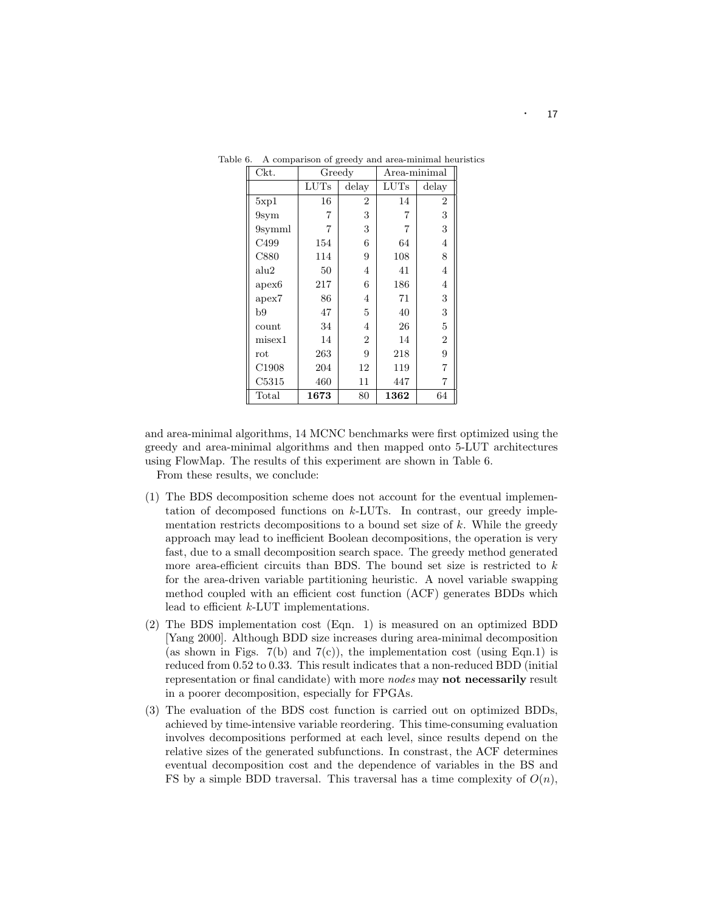| Ckt.              | Greedy         |                | Area-minimal   |                |  |
|-------------------|----------------|----------------|----------------|----------------|--|
|                   | $_{\rm LUTs}$  | delay          | LUTs           | delay          |  |
| 5xp1              | 16             | $\overline{2}$ | 14             | 2              |  |
| 9 <sub>sym</sub>  | 7              | 3              | $\overline{7}$ | 3              |  |
| 9symml            | $\overline{7}$ | 3              | 7              | 3              |  |
| C <sub>499</sub>  | 154            | 6              | 64             | 4              |  |
| C880              | 114            | 9              | 108            | 8              |  |
| alu2              | 50             | 4              | 41             | 4              |  |
| apex6             | 217            | 6              | 186            | $\overline{4}$ |  |
| apex7             | 86             | 4              | 71             | 3              |  |
| b9                | 47             | 5              | 40             | 3              |  |
| count             | 34             | $\overline{4}$ | 26             | 5              |  |
| $_{\rm{missex1}}$ | 14             | $\overline{2}$ | 14             | $\overline{2}$ |  |
| $_{\rm rot}$      | 263            | 9              | 218            | 9              |  |
| C <sub>1908</sub> | 204            | 12             | 119            | $\overline{7}$ |  |
| C5315             | 460            | 11             | 447            | $\overline{7}$ |  |
| Total             | 1673           | 80             | 1362           | 64             |  |

Table 6. A comparison of greedy and area-minimal heuristics

and area-minimal algorithms, 14 MCNC benchmarks were first optimized using the greedy and area-minimal algorithms and then mapped onto 5-LUT architectures using FlowMap. The results of this experiment are shown in Table 6.

From these results, we conclude:

- (1) The BDS decomposition scheme does not account for the eventual implementation of decomposed functions on k-LUTs. In contrast, our greedy implementation restricts decompositions to a bound set size of  $k$ . While the greedy approach may lead to inefficient Boolean decompositions, the operation is very fast, due to a small decomposition search space. The greedy method generated more area-efficient circuits than BDS. The bound set size is restricted to  $k$ for the area-driven variable partitioning heuristic. A novel variable swapping method coupled with an efficient cost function (ACF) generates BDDs which lead to efficient k-LUT implementations.
- (2) The BDS implementation cost (Eqn. 1) is measured on an optimized BDD [Yang 2000]. Although BDD size increases during area-minimal decomposition (as shown in Figs. 7(b) and 7(c)), the implementation cost (using Eqn.1) is reduced from 0.52 to 0.33. This result indicates that a non-reduced BDD (initial representation or final candidate) with more *nodes* may **not necessarily** result in a poorer decomposition, especially for FPGAs.
- (3) The evaluation of the BDS cost function is carried out on optimized BDDs, achieved by time-intensive variable reordering. This time-consuming evaluation involves decompositions performed at each level, since results depend on the relative sizes of the generated subfunctions. In constrast, the ACF determines eventual decomposition cost and the dependence of variables in the BS and FS by a simple BDD traversal. This traversal has a time complexity of  $O(n)$ ,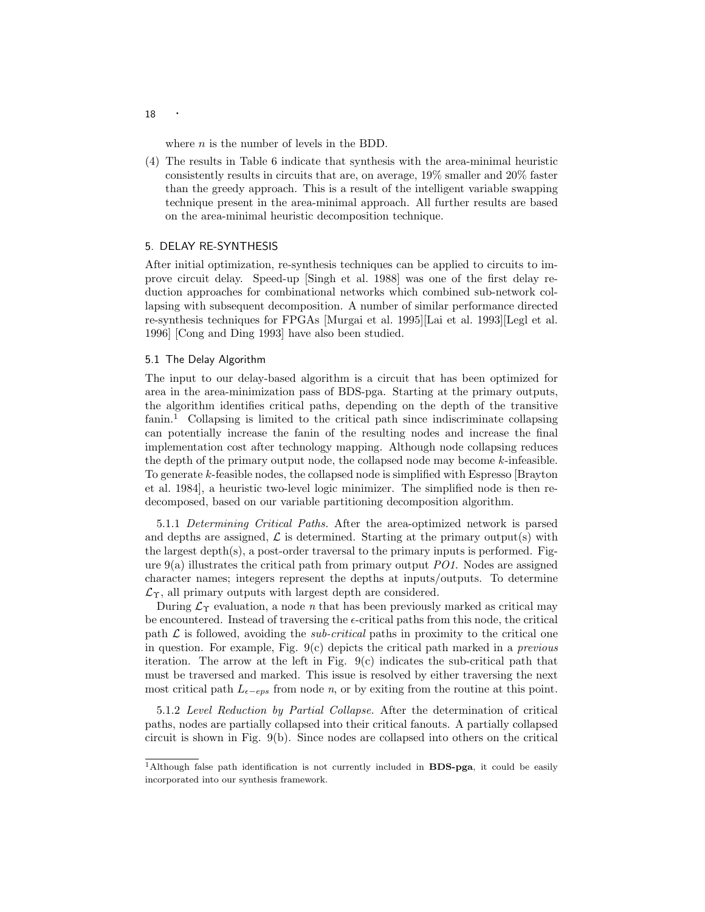where  $n$  is the number of levels in the BDD.

(4) The results in Table 6 indicate that synthesis with the area-minimal heuristic consistently results in circuits that are, on average, 19% smaller and 20% faster than the greedy approach. This is a result of the intelligent variable swapping technique present in the area-minimal approach. All further results are based on the area-minimal heuristic decomposition technique.

## 5. DELAY RE-SYNTHESIS

After initial optimization, re-synthesis techniques can be applied to circuits to improve circuit delay. Speed-up [Singh et al. 1988] was one of the first delay reduction approaches for combinational networks which combined sub-network collapsing with subsequent decomposition. A number of similar performance directed re-synthesis techniques for FPGAs [Murgai et al. 1995][Lai et al. 1993][Legl et al. 1996] [Cong and Ding 1993] have also been studied.

## 5.1 The Delay Algorithm

The input to our delay-based algorithm is a circuit that has been optimized for area in the area-minimization pass of BDS-pga. Starting at the primary outputs, the algorithm identifies critical paths, depending on the depth of the transitive fanin.<sup>1</sup> Collapsing is limited to the critical path since indiscriminate collapsing can potentially increase the fanin of the resulting nodes and increase the final implementation cost after technology mapping. Although node collapsing reduces the depth of the primary output node, the collapsed node may become k-infeasible. To generate k-feasible nodes, the collapsed node is simplified with Espresso [Brayton et al. 1984], a heuristic two-level logic minimizer. The simplified node is then redecomposed, based on our variable partitioning decomposition algorithm.

5.1.1 *Determining Critical Paths.* After the area-optimized network is parsed and depths are assigned,  $\mathcal L$  is determined. Starting at the primary output(s) with the largest depth(s), a post-order traversal to the primary inputs is performed. Figure 9(a) illustrates the critical path from primary output *PO1*. Nodes are assigned character names; integers represent the depths at inputs/outputs. To determine  $\mathcal{L}_{\Upsilon}$ , all primary outputs with largest depth are considered.

During  $\mathcal{L}_{\Upsilon}$  evaluation, a node *n* that has been previously marked as critical may be encountered. Instead of traversing the  $\epsilon$ -critical paths from this node, the critical path  $\mathcal L$  is followed, avoiding the *sub-critical* paths in proximity to the critical one in question. For example, Fig. 9(c) depicts the critical path marked in a *previous* iteration. The arrowat the left in Fig. 9(c) indicates the sub-critical path that must be traversed and marked. This issue is resolved by either traversing the next most critical path  $L_{\epsilon-eps}$  from node *n*, or by exiting from the routine at this point.

5.1.2 *Level Reduction by Partial Collapse.* After the determination of critical paths, nodes are partially collapsed into their critical fanouts. A partially collapsed circuit is shown in Fig. 9(b). Since nodes are collapsed into others on the critical

<sup>18</sup> ·

 $1$ Although false path identification is not currently included in **BDS-pga**, it could be easily incorporated into our synthesis framework.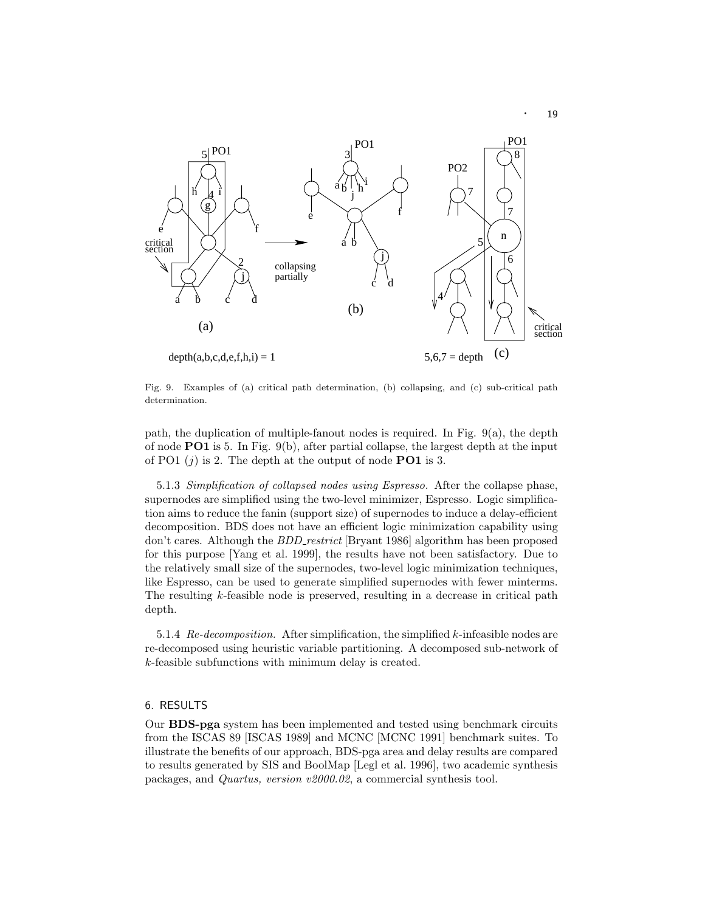

Fig. 9. Examples of (a) critical path determination, (b) collapsing, and (c) sub-critical path determination.

path, the duplication of multiple-fanout nodes is required. In Fig. 9(a), the depth of node **PO1** is 5. In Fig. 9(b), after partial collapse, the largest depth at the input of PO1  $(j)$  is 2. The depth at the output of node **PO1** is 3.

5.1.3 *Simplification of collapsed nodes using Espresso.* After the collapse phase, supernodes are simplified using the two-level minimizer, Espresso. Logic simplification aims to reduce the fanin (support size) of supernodes to induce a delay-efficient decomposition. BDS does not have an efficient logic minimization capability using don't cares. Although the *BDD restrict* [Bryant 1986] algorithm has been proposed for this purpose [Yang et al. 1999], the results have not been satisfactory. Due to the relatively small size of the supernodes, two-level logic minimization techniques, like Espresso, can be used to generate simplified supernodes with fewer minterms. The resulting k-feasible node is preserved, resulting in a decrease in critical path depth.

5.1.4 *Re-decomposition.* After simplification, the simplified k-infeasible nodes are re-decomposed using heuristic variable partitioning. A decomposed sub-network of k-feasible subfunctions with minimum delay is created.

## 6. RESULTS

Our **BDS-pga** system has been implemented and tested using benchmark circuits from the ISCAS 89 [ISCAS 1989] and MCNC [MCNC 1991] benchmark suites. To illustrate the benefits of our approach, BDS-pga area and delay results are compared to results generated by SIS and BoolMap [Legl et al. 1996], two academic synthesis packages, and *Quartus, version v2000.02*, a commercial synthesis tool.

· <sup>19</sup>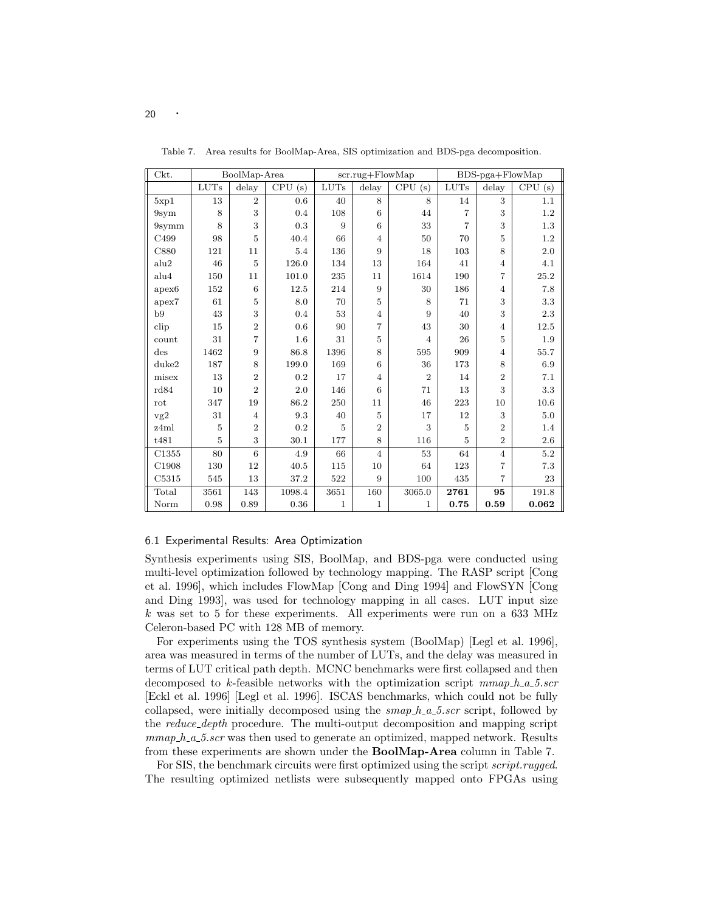| Ckt.           |      | $\mbox{BoolMap-Area}$ |            |              | scr.rug+FlowMap |                |                | $BDS-pga + FlowMap$ |                             |
|----------------|------|-----------------------|------------|--------------|-----------------|----------------|----------------|---------------------|-----------------------------|
|                | LUTs | delay                 | CPU<br>(s) | <b>LUTs</b>  | delay           | CPU<br>(s)     | LUTs           | delay               | $\overline{\text{CPU}}$ (s) |
| 5xp1           | 13   | $\overline{2}$        | 0.6        | 40           | 8               | 8              | 14             | 3                   | 1.1                         |
| 9sym           | 8    | 3                     | 0.4        | 108          | 6               | 44             | 7              | 3                   | 1.2                         |
| 9symm          | 8    | 3                     | 0.3        | 9            | 6               | 33             | $\overline{7}$ | 3                   | 1.3                         |
| C499           | 98   | 5                     | 40.4       | 66           | $\overline{4}$  | 50             | 70             | 5                   | 1.2                         |
| C880           | 121  | 11                    | 5.4        | 136          | 9               | 18             | 103            | 8                   | 2.0                         |
| alu2           | 46   | 5                     | 126.0      | 134          | 13              | 164            | 41             | $\overline{4}$      | 4.1                         |
| alu4           | 150  | 11                    | 101.0      | 235          | 11              | 1614           | 190            | 7                   | 25.2                        |
| apex6          | 152  | 6                     | 12.5       | 214          | 9               | 30             | 186            | $\overline{4}$      | $7.8\,$                     |
| apex7          | 61   | 5                     | 8.0        | 70           | 5               | 8              | 71             | 3                   | 3.3                         |
| b9             | 43   | 3                     | 0.4        | 53           | $\overline{4}$  | 9              | 40             | 3                   | $2.3\,$                     |
| clip           | 15   | $\overline{2}$        | 0.6        | 90           | 7               | 43             | 30             | 4                   | 12.5                        |
| count          | 31   | $\overline{7}$        | 1.6        | 31           | 5               | $\overline{4}$ | 26             | 5                   | 1.9                         |
| $\mathrm{des}$ | 1462 | 9                     | 86.8       | 1396         | 8               | 595            | 909            | $\overline{4}$      | 55.7                        |
| duke2          | 187  | 8                     | 199.0      | 169          | 6               | 36             | 173            | 8                   | 6.9                         |
| misex          | 13   | $\overline{2}$        | 0.2        | 17           | $\overline{4}$  | $\overline{2}$ | 14             | $\overline{2}$      | 7.1                         |
| rd84           | 10   | $\overline{2}$        | 2.0        | 146          | 6               | 71             | 13             | 3                   | 3.3                         |
| rot            | 347  | 19                    | 86.2       | 250          | 11              | 46             | 223            | 10                  | 10.6                        |
| vg2            | 31   | $\overline{4}$        | 9.3        | 40           | 5               | 17             | 12             | 3                   | 5.0                         |
| z4ml           | 5    | $\overline{2}$        | 0.2        | 5            | $\overline{2}$  | 3              | $\overline{5}$ | $\overline{2}$      | 1.4                         |
| t481           | 5    | 3                     | 30.1       | 177          | 8               | 116            | $\overline{5}$ | $\overline{2}$      | 2.6                         |
| C1355          | 80   | 6                     | 4.9        | 66           | $\overline{4}$  | 53             | 64             | $\overline{4}$      | 5.2                         |
| C1908          | 130  | 12                    | 40.5       | 115          | 10              | 64             | 123            | 7                   | 7.3                         |
| C5315          | 545  | 13                    | 37.2       | 522          | 9               | 100            | 435            | $\overline{7}$      | 23                          |
| Total          | 3561 | 143                   | 1098.4     | 3651         | 160             | 3065.0         | 2761           | 95                  | 191.8                       |
| Norm           | 0.98 | 0.89                  | 0.36       | $\mathbf{1}$ | $\mathbf{1}$    | 1              | 0.75           | 0.59                | 0.062                       |

Table 7. Area results for BoolMap-Area, SIS optimization and BDS-pga decomposition.

#### 6.1 Experimental Results: Area Optimization

Synthesis experiments using SIS, BoolMap, and BDS-pga were conducted using multi-level optimization followed by technology mapping. The RASP script [Cong et al. 1996], which includes FlowMap [Cong and Ding 1994] and FlowSYN [Cong and Ding 1993], was used for technology mapping in all cases. LUT input size  $k$  was set to 5 for these experiments. All experiments were run on a 633 MHz Celeron-based PC with 128 MB of memory.

For experiments using the TOS synthesis system (BoolMap) [Legl et al. 1996], area was measured in terms of the number of LUTs, and the delay was measured in terms of LUT critical path depth. MCNC benchmarks were first collapsed and then decomposed to k-feasible networks with the optimization script *mmap h a 5.scr* [Eckl et al. 1996] [Legl et al. 1996]. ISCAS benchmarks, which could not be fully collapsed, were initially decomposed using the *smap h a 5.scr* script, followed by the *reduce depth* procedure. The multi-output decomposition and mapping script *mmap h a 5.scr* was then used to generate an optimized, mapped network. Results from these experiments are shown under the **BoolMap-Area** column in Table 7.

For SIS, the benchmark circuits were first optimized using the script *script.rugged*. The resulting optimized netlists were subsequently mapped onto FPGAs using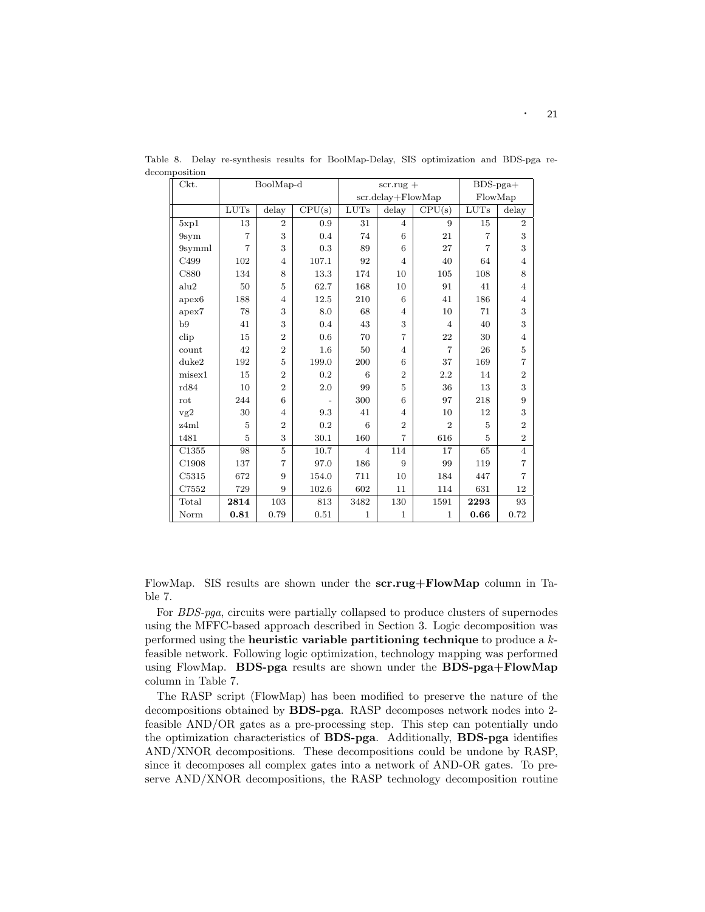| Ckt.              | BoolMap-d      |                |        |                | $scr.rug +$       |                             | $BDS-pga+$     |                |
|-------------------|----------------|----------------|--------|----------------|-------------------|-----------------------------|----------------|----------------|
|                   |                |                |        |                | scr.delay+FlowMap |                             | FlowMap        |                |
|                   | LUTs           | delay          | CPU(s) | LUTs           | delay             | CPU(s)                      | LUTs           | delay          |
| 5xp1              | 13             | $\overline{2}$ | 0.9    | 31             | 4                 | 9                           | 15             | $\overline{2}$ |
| 9sym              | $\overline{7}$ | 3              | 0.4    | 74             | 6                 | 21                          | $\overline{7}$ | 3              |
| 9symml            | $\overline{7}$ | 3              | 0.3    | 89             | 6                 | 27                          | $\overline{7}$ | 3              |
| C499              | 102            | $\overline{4}$ | 107.1  | 92             | $\overline{4}$    | 40                          | 64             | $\overline{4}$ |
| C880              | 134            | 8              | 13.3   | 174            | 10                | 105                         | 108            | 8              |
| alu2              | 50             | 5              | 62.7   | 168            | 10                | 91                          | 41             | $\overline{4}$ |
| apex <sub>6</sub> | 188            | 4              | 12.5   | 210            | 6                 | 41                          | 186            | 4              |
| apex7             | 78             | 3              | 8.0    | 68             | $\overline{4}$    | 10                          | 71             | 3              |
| b9                | 41             | 3              | 0.4    | 43             | 3                 | $\overline{4}$              | 40             | 3              |
| clip              | 15             | $\overline{2}$ | 0.6    | 70             | $\overline{7}$    | 22                          | 30             | $\overline{4}$ |
| count             | 42             | $\overline{2}$ | 1.6    | 50             | $\overline{4}$    | $\overline{7}$              | 26             | $\overline{5}$ |
| duke2             | 192            | 5              | 199.0  | 200            | 6                 | 37                          | 169            | $\overline{7}$ |
| misex1            | 15             | $\overline{2}$ | 0.2    | 6              | $\overline{2}$    | 2.2                         | 14             | $\overline{2}$ |
| rd84              | 10             | $\overline{2}$ | 2.0    | 99             | 5                 | 36                          | 13             | 3              |
| rot               | 244            | 6              |        | 300            | 6                 | 97                          | 218            | 9              |
| vg2               | 30             | 4              | 9.3    | 41             | $\overline{4}$    | 10                          | 12             | 3              |
| z4ml              | $\overline{5}$ | $\overline{2}$ | 0.2    | 6              | $\overline{2}$    | $\mathcal{D}_{\mathcal{L}}$ | 5              | $\overline{2}$ |
| t481              | 5              | 3              | 30.1   | 160            | 7                 | 616                         | 5              | $\overline{2}$ |
| C1355             | 98             | 5              | 10.7   | $\overline{4}$ | 114               | 17                          | 65             | $\overline{4}$ |
| C1908             | 137            | $\overline{7}$ | 97.0   | 186            | 9                 | 99                          | 119            | $\overline{7}$ |
| C5315             | 672            | 9              | 154.0  | 711            | 10                | 184                         | 447            | $\overline{7}$ |
| C7552             | 729            | 9              | 102.6  | 602            | 11                | 114                         | 631            | 12             |
| Total             | 2814           | 103            | 813    | 3482           | 130               | 1591                        | 2293           | 93             |
| Norm              | 0.81           | 0.79           | 0.51   | $\mathbf{1}$   | $\mathbf{1}$      | $\mathbf{1}$                | 0.66           | 0.72           |

Table 8. Delay re-synthesis results for BoolMap-Delay, SIS optimization and BDS-pga redecomposition

FlowMap. SIS results are shown under the **scr.rug+FlowMap** column in Table 7.

For *BDS-pga*, circuits were partially collapsed to produce clusters of supernodes using the MFFC-based approach described in Section 3. Logic decomposition was performed using the **heuristic variable partitioning technique** to produce a kfeasible network. Following logic optimization, technology mapping was performed using FlowMap. **BDS-pga** results are shown under the **BDS-pga+FlowMap** column in Table 7.

The RASP script (FlowMap) has been modified to preserve the nature of the decompositions obtained by **BDS-pga**. RASP decomposes network nodes into 2 feasible AND/OR gates as a pre-processing step. This step can potentially undo the optimization characteristics of **BDS-pga**. Additionally, **BDS-pga** identifies AND/XNOR decompositions. These decompositions could be undone by RASP, since it decomposes all complex gates into a network of AND-OR gates. To preserve AND/XNOR decompositions, the RASP technology decomposition routine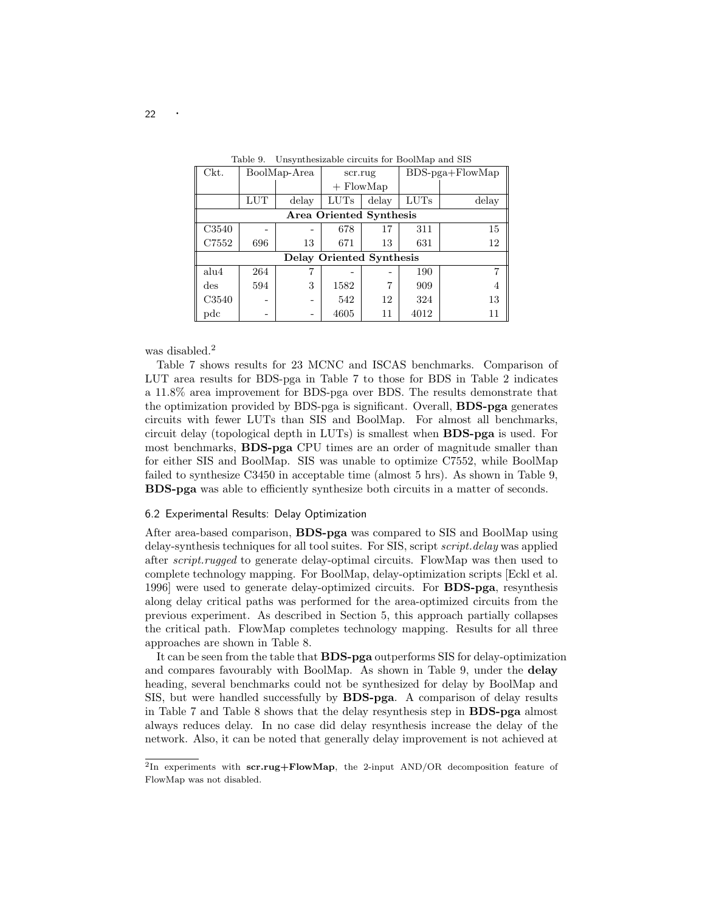| Ckt.           | BoolMap-Area |       | scr.rug                        |       | $BDS-pga + FlowMap$ |       |
|----------------|--------------|-------|--------------------------------|-------|---------------------|-------|
|                |              |       | $+$ FlowMap                    |       |                     |       |
|                | LUT          | delay | <b>LUTs</b>                    | delay | <b>LUTs</b>         | delay |
|                |              |       | <b>Area Oriented Synthesis</b> |       |                     |       |
| C3540          |              |       | 678                            | 17    | 311                 | 15    |
| C7552          | 696          | 13    | 671                            | 13    | 631                 | 12    |
|                |              |       | Delay Oriented Synthesis       |       |                     |       |
| alu4           | 264          |       |                                |       | 190                 |       |
| $\mathrm{des}$ | 594          | 3     | 1582                           | 7     | 909                 |       |
| C3540          |              |       | 542                            | 12    | 324                 | 13    |
| $_{\rm pdc}$   |              |       | 4605                           | 11    | 4012                | 11    |

Table 9. Unsynthesizable circuits for BoolMap and SIS

was disabled.<sup>2</sup>

Table 7 shows results for 23 MCNC and ISCAS benchmarks. Comparison of LUT area results for BDS-pga in Table 7 to those for BDS in Table 2 indicates a 11.8% area improvement for BDS-pga over BDS. The results demonstrate that the optimization provided by BDS-pga is significant. Overall, **BDS-pga** generates circuits with fewer LUTs than SIS and BoolMap. For almost all benchmarks, circuit delay (topological depth in LUTs) is smallest when **BDS-pga** is used. For most benchmarks, **BDS-pga** CPU times are an order of magnitude smaller than for either SIS and BoolMap. SIS was unable to optimize C7552, while BoolMap failed to synthesize C3450 in acceptable time (almost 5 hrs). As shown in Table 9, **BDS-pga** was able to efficiently synthesize both circuits in a matter of seconds.

## 6.2 Experimental Results: Delay Optimization

After area-based comparison, **BDS-pga** was compared to SIS and BoolMap using delay-synthesis techniques for all tool suites. For SIS, script *script.delay* was applied after *script.rugged* to generate delay-optimal circuits. FlowMap was then used to complete technology mapping. For BoolMap, delay-optimization scripts [Eckl et al. 1996] were used to generate delay-optimized circuits. For **BDS-pga**, resynthesis along delay critical paths was performed for the area-optimized circuits from the previous experiment. As described in Section 5, this approach partially collapses the critical path. FlowMap completes technology mapping. Results for all three approaches are shown in Table 8.

It can be seen from the table that **BDS-pga** outperforms SIS for delay-optimization and compares favourably with BoolMap. As shown in Table 9, under the **delay** heading, several benchmarks could not be synthesized for delay by BoolMap and SIS, but were handled successfully by **BDS-pga**. A comparison of delay results in Table 7 and Table 8 shows that the delay resynthesis step in **BDS-pga** almost always reduces delay. In no case did delay resynthesis increase the delay of the network. Also, it can be noted that generally delay improvement is not achieved at

<sup>&</sup>lt;sup>2</sup>In experiments with **scr.rug+FlowMap**, the 2-input AND/OR decomposition feature of FlowMap was not disabled.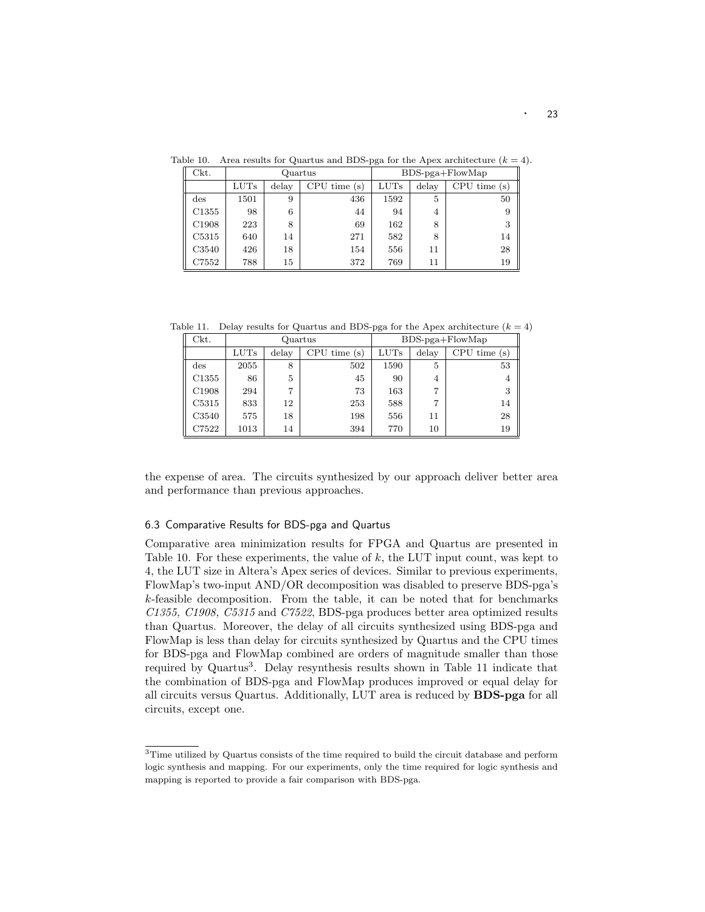| Ckt.           |             | Quartus |             |             |       | $BDS$ -pga+ $F$ lowMap |
|----------------|-------------|---------|-------------|-------------|-------|------------------------|
|                | <b>LUTs</b> | delay   | CPU time(s) | <b>LUTs</b> | delay | CPU time(s)            |
| $\mathrm{des}$ | 1501        | 9       | 436         | 1592        | 5     | 50                     |
| C1355          | 98          | 6       | 44          | 94          | 4     | 9                      |
| C1908          | 223         | 8       | 69          | 162         | 8     | 3                      |
| C5315          | 640         | 14      | 271         | 582         | 8     | 14                     |
| C3540          | 426         | 18      | 154         | 556         | 11    | 28                     |
| C7552          | 788         | 15      | 372         | 769         | 11    | 19                     |

Table 10. Area results for Quartus and BDS-pga for the Apex architecture  $(k = 4)$ .

Table 11. Delay results for Quartus and BDS-pga for the Apex architecture  $(k = 4)$ 

| Ckt.              | Quartus |       |             |             |       | $BDS-pga + FlowMap$ |
|-------------------|---------|-------|-------------|-------------|-------|---------------------|
|                   | LUTs    | delay | CPU time(s) | <b>LUTs</b> | delay | CPU time(s)         |
| $\mathrm{des}$    | 2055    | 8     | 502         | 1590        | 5     | 53                  |
| C <sub>1355</sub> | 86      | 5     | 45          | 90          | 4     | 4                   |
| C <sub>1908</sub> | 294     | 7     | 73          | 163         | 7     | 3                   |
| C5315             | 833     | 12    | 253         | 588         | 7     | 14                  |
| C3540             | 575     | 18    | 198         | 556         | 11    | 28                  |
| C7522             | 1013    | 14    | 394         | 770         | 10    | 19                  |

the expense of area. The circuits synthesized by our approach deliver better area and performance than previous approaches.

### 6.3 Comparative Results for BDS-pga and Quartus

Comparative area minimization results for FPGA and Quartus are presented in Table 10. For these experiments, the value of k, the LUT input count, was kept to 4, the LUT size in Altera's Apex series of devices. Similar to previous experiments, FlowMap's two-input AND/OR decomposition was disabled to preserve BDS-pga's k-feasible decomposition. From the table, it can be noted that for benchmarks *C1355, C1908, C5315* and *C7522*, BDS-pga produces better area optimized results than Quartus. Moreover, the delay of all circuits synthesized using BDS-pga and FlowMap is less than delay for circuits synthesized by Quartus and the CPU times for BDS-pga and FlowMap combined are orders of magnitude smaller than those required by Quartus<sup>3</sup>. Delay resynthesis results shown in Table 11 indicate that the combination of BDS-pga and FlowMap produces improved or equal delay for all circuits versus Quartus. Additionally, LUT area is reduced by **BDS-pga** for all circuits, except one.

<sup>3</sup>Time utilized by Quartus consists of the time required to build the circuit database and perform logic synthesis and mapping. For our experiments, only the time required for logic synthesis and mapping is reported to provide a fair comparison with BDS-pga.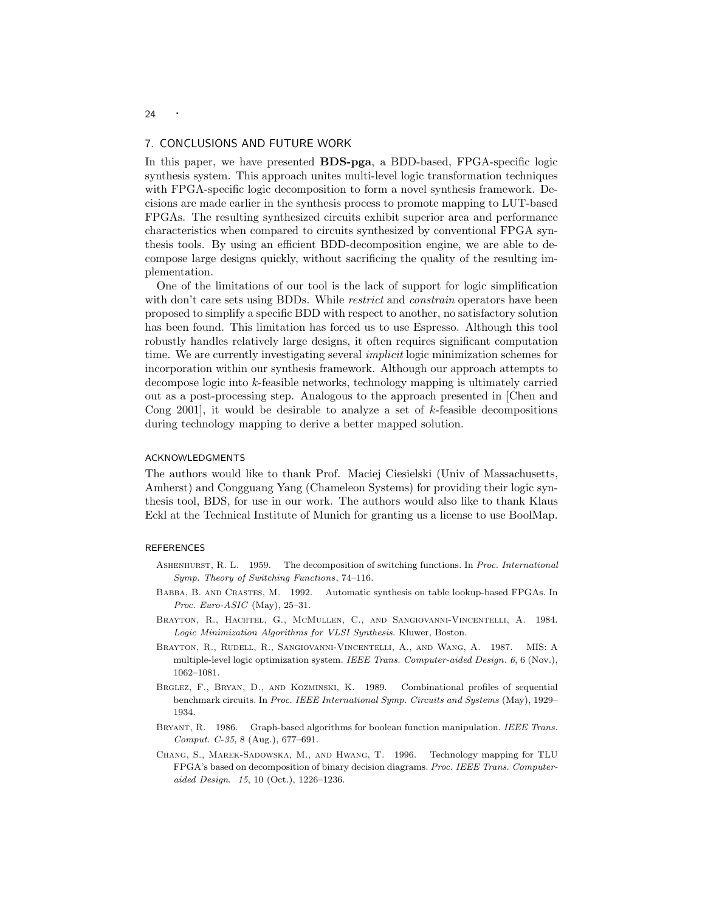#### 7. CONCLUSIONS AND FUTURE WORK

In this paper, we have presented **BDS-pga**, a BDD-based, FPGA-specific logic synthesis system. This approach unites multi-level logic transformation techniques with FPGA-specific logic decomposition to form a novel synthesis framework. Decisions are made earlier in the synthesis process to promote mapping to LUT-based FPGAs. The resulting synthesized circuits exhibit superior area and performance characteristics when compared to circuits synthesized by conventional FPGA synthesis tools. By using an efficient BDD-decomposition engine, we are able to decompose large designs quickly, without sacrificing the quality of the resulting implementation.

One of the limitations of our tool is the lack of support for logic simplification with don't care sets using BDDs. While *restrict* and *constrain* operators have been proposed to simplify a specific BDD with respect to another, no satisfactory solution has been found. This limitation has forced us to use Espresso. Although this tool robustly handles relatively large designs, it often requires significant computation time. We are currently investigating several *implicit* logic minimization schemes for incorporation within our synthesis framework. Although our approach attempts to decompose logic into k-feasible networks, technology mapping is ultimately carried out as a post-processing step. Analogous to the approach presented in [Chen and Cong 2001, it would be desirable to analyze a set of  $k$ -feasible decompositions during technology mapping to derive a better mapped solution.

#### ACKNOWLEDGMENTS

The authors would like to thank Prof. Maciej Ciesielski (Univ of Massachusetts, Amherst) and Congguang Yang (Chameleon Systems) for providing their logic synthesis tool, BDS, for use in our work. The authors would also like to thank Klaus Eckl at the Technical Institute of Munich for granting us a license to use BoolMap.

#### **REFERENCES**

- ASHENHURST, R. L. 1959. The decomposition of switching functions. In Proc. International Symp. Theory of Switching Functions,74–116.
- Babba, B. and Crastes, M. 1992. Automatic synthesis on table lookup-based FPGAs. In Proc. Euro- $ASIC$  (May), 25–31.
- Brayton, R., Hachtel, G., McMullen, C., and Sangiovanni-Vincentelli, A. 1984. Logic Minimization Algorithms for VLSI Synthesis. Kluwer, Boston.
- Brayton, R., Rudell, R., Sangiovanni-Vincentelli, A., and Wang, A. 1987. MIS: A multiple-level logic optimization system. IEEE Trans. Computer-aided Design. 6, 6 (Nov.), 1062–1081.
- Brglez, F., Bryan, D., and Kozminski, K. 1989. Combinational profiles of sequential benchmark circuits. In Proc. IEEE International Symp. Circuits and Systems (May),1929– 1934.
- BRYANT, R. 1986. Graph-based algorithms for boolean function manipulation. IEEE Trans. Comput. C-35,8 (Aug.),677–691.
- Chang, S., Marek-Sadowska, M., and Hwang, T. 1996. Technology mapping for TLU FPGA's based on decomposition of binary decision diagrams. Proc. IEEE Trans. Computeraided Design. 15,10 (Oct.),1226–1236.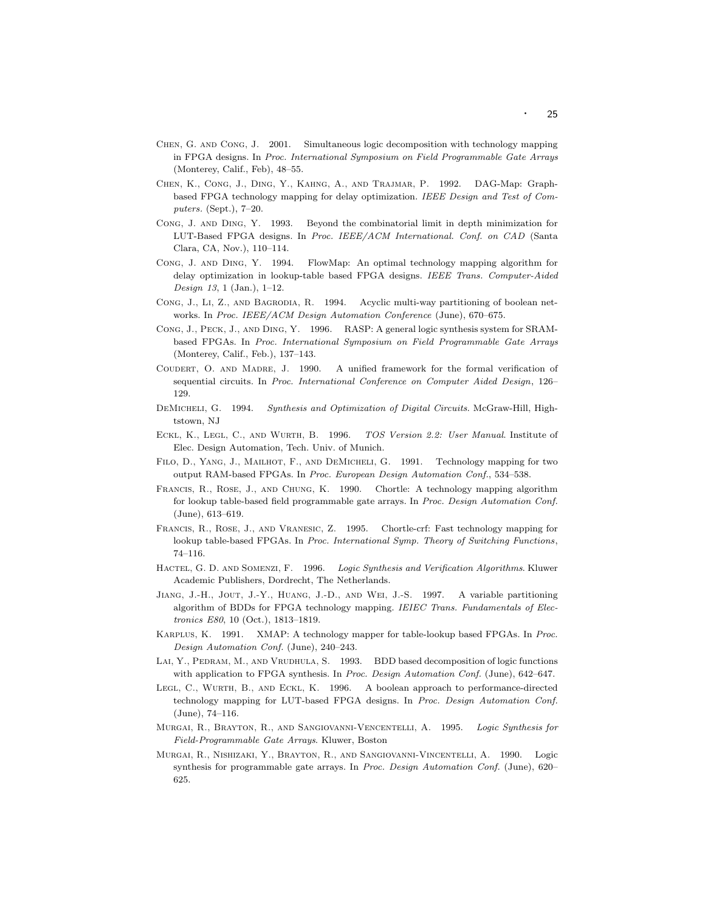- Chen, G. and Cong, J. 2001. Simultaneous logic decomposition with technology mapping in FPGA designs. In Proc. International Symposium on Field Programmable Gate Arrays (Monterey, Calif., Feb), 48-55.
- Chen, K., Cong, J., Ding, Y., Kahng, A., and Trajmar, P. 1992. DAG-Map: Graphbased FPGA technology mapping for delay optimization. IEEE Design and Test of Computers. (Sept.),  $7-20$ .
- Cong, J. and Ding, Y. 1993. Beyond the combinatorial limit in depth minimization for LUT-Based FPGA designs. In Proc. IEEE/ACM International. Conf. on CAD (Santa Clara, CA, Nov.), 110–114.
- Cong, J. and Ding, Y. 1994. FlowMap: An optimal technology mapping algorithm for delay optimization in lookup-table based FPGA designs. IEEE Trans. Computer-Aided Design 13, 1 (Jan.),  $1-12$ .
- Cong, J., Li, Z., and Bagrodia, R. 1994. Acyclic multi-way partitioning of boolean networks. In Proc. IEEE/ACM Design Automation Conference (June), 670-675.
- Cong, J., Peck, J., and Ding, Y. 1996. RASP: A general logic synthesis system for SRAMbased FPGAs. In Proc. International Symposium on Field Programmable Gate Arrays (Monterey, Calif., Feb.), 137-143.
- Coudert, O. and Madre, J. 1990. A unified framework for the formal verification of sequential circuits. In Proc. International Conference on Computer Aided Design,126– 129.
- DEMICHELI, G. 1994. Synthesis and Optimization of Digital Circuits. McGraw-Hill, Hightstown, NJ
- Eckl, K., Legl, C., and Wurth, B. 1996. TOS Version 2.2: User Manual. Institute of Elec. Design Automation, Tech. Univ. of Munich.
- Filo, D., Yang, J., Mailhot, F., and DeMicheli, G. 1991. Technology mapping for two output RAM-based FPGAs. In Proc. European Design Automation Conf.,534–538.
- Francis, R., Rose, J., and Chung, K. 1990. Chortle: A technology mapping algorithm for lookup table-based field programmable gate arrays. In Proc. Design Automation Conf. (June),613–619.
- Francis, R., Rose, J., and Vranesic, Z. 1995. Chortle-crf: Fast technology mapping for lookup table-based FPGAs. In Proc. International Symp. Theory of Switching Functions, 74–116.
- HACTEL, G. D. AND SOMENZI, F. 1996. Logic Synthesis and Verification Algorithms. Kluwer Academic Publishers, Dordrecht, The Netherlands.
- Jiang, J.-H., Jout, J.-Y., Huang, J.-D., and Wei, J.-S. 1997. A variable partitioning algorithm of BDDs for FPGA technology mapping. IEIEC Trans. Fundamentals of Electronics E80,10 (Oct.),1813–1819.
- Karplus, K. 1991. XMAP: A technology mapper for table-lookup based FPGAs. In Proc. Design Automation Conf. (June), 240-243.
- LAI, Y., PEDRAM, M., AND VRUDHULA, S. 1993. BDD based decomposition of logic functions with application to FPGA synthesis. In Proc. Design Automation Conf. (June), 642–647.
- LEGL, C., WURTH, B., AND ECKL, K. 1996. A boolean approach to performance-directed technology mapping for LUT-based FPGA designs. In Proc. Design Automation Conf.  $(June)$ , 74–116.
- Murgai, R., Brayton, R., and Sangiovanni-Vencentelli, A. 1995. Logic Synthesis for Field-Programmable Gate Arrays. Kluwer, Boston
- Murgai, R., Nishizaki, Y., Brayton, R., and Sangiovanni-Vincentelli, A. 1990. Logic synthesis for programmable gate arrays. In Proc. Design Automation Conf. (June), 620– 625.